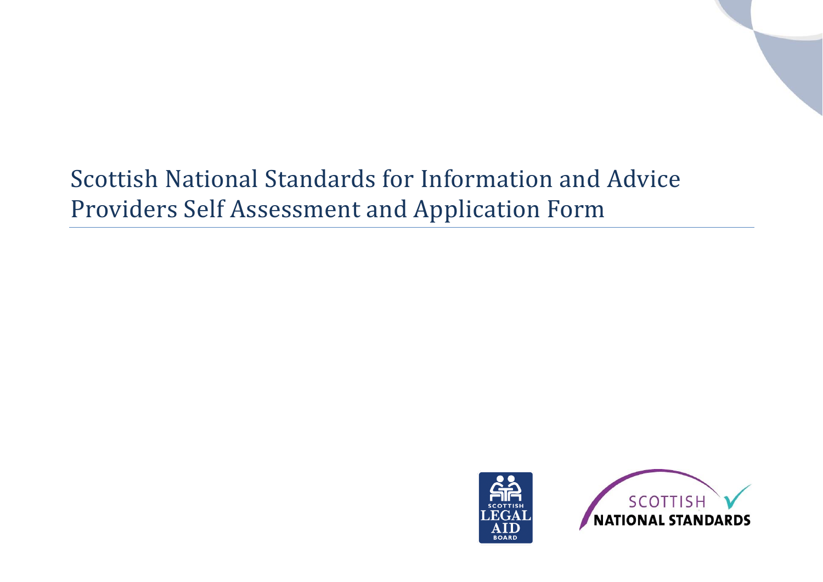# Scottish National Standards for Information and Advice Providers Self Assessment and Application Form



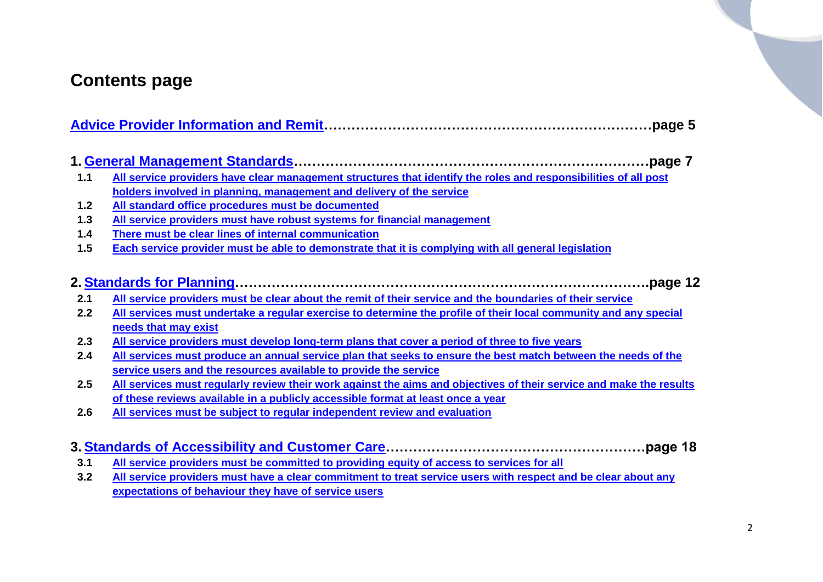### **Contents page**

| $1.1$ | All service providers have clear management structures that identify the roles and responsibilities of all post                                                                                        |
|-------|--------------------------------------------------------------------------------------------------------------------------------------------------------------------------------------------------------|
|       | holders involved in planning, management and delivery of the service                                                                                                                                   |
| $1.2$ | All standard office procedures must be documented                                                                                                                                                      |
| $1.3$ | All service providers must have robust systems for financial management                                                                                                                                |
| $1.4$ | There must be clear lines of internal communication                                                                                                                                                    |
| 1.5   | Each service provider must be able to demonstrate that it is complying with all general legislation                                                                                                    |
| 2.1   | page 12.<br>All service providers must be clear about the remit of their service and the boundaries of their service                                                                                   |
|       |                                                                                                                                                                                                        |
| 2.2   | All services must undertake a regular exercise to determine the profile of their local community and any special                                                                                       |
|       | needs that may exist                                                                                                                                                                                   |
| 2.3   | All service providers must develop long-term plans that cover a period of three to five years                                                                                                          |
| 2.4   | All services must produce an annual service plan that seeks to ensure the best match between the needs of the                                                                                          |
|       | service users and the resources available to provide the service                                                                                                                                       |
| 2.5   | All services must regularly review their work against the aims and objectives of their service and make the results<br>of these reviews available in a publicly accessible format at least once a year |

- **3.1 [All service providers must be committed to providing equity of access to services for all](#page-17-1)**
- **3.2 [All service providers must have a clear commitment to treat service users with respect and be clear about any](#page-18-0)  [expectations of behaviour they have of service users](#page-18-0)**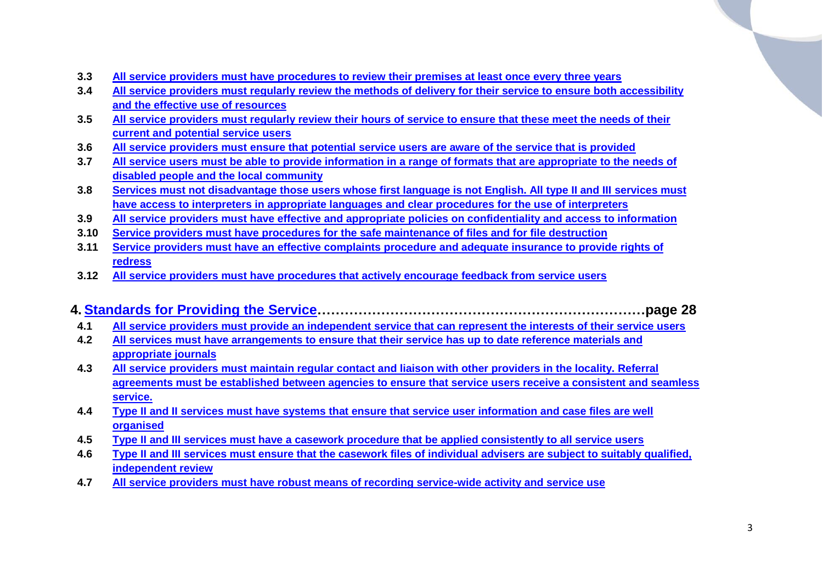- **3.3 [All service providers must have procedures to review their premises at least once every three years](#page-19-0)**
- **3.4 [All service providers must regularly review the methods of delivery for their service to ensure both accessibility](#page-20-0)  [and the effective use of resources](#page-20-0)**
- **3.5 [All service providers must regularly review their hours of service to ensure that these meet the needs of](#page-20-1) their [current and potential service users](#page-20-1)**
- **3.6 All service providers must ensure [that potential service users are aware of the service that is provided](#page-21-0)**
- **3.7 [All service users must be able to provide information in a range of formats that are appropriate to the needs of](#page-22-0)  [disabled people and the local community](#page-22-0)**
- **3.8 [Services must not disadvantage those users whose first language is not English. All type II and III services must](#page-22-1)  [have access to interpreters in appropriate languages and clear procedures for the use of interpreters](#page-22-1)**
- **3.9 [All service providers must have effective and appropriate policies on confidentiality and access to information](#page-23-0)**
- **3.10 [Service providers must have procedures for the safe maintenance of files and for file destruction](#page-24-0)**
- **3.11 [Service providers must have an effective complaints procedure and adequate insurance to provide rights of](#page-25-0)  [redress](#page-25-0)**
- **3.12 [All service providers must have procedures that actively encourage feedback from service users](#page-26-0)**

#### **4. [Standards for Providing the Service…](#page-27-0)……………………………………………………………page 28**

- **4.1 [All service providers must provide an independent service that can represent the interests of their service users](#page-27-1)**
- **4.2 All services must have arrangements [to ensure that their service has up to date reference materials and](#page-34-0)  [appropriate journals](#page-34-0)**
- **4.3 [All service providers must maintain regular contact and liaison with other providers in the locality. Referral](#page-28-0)  [agreements must be established between agencies to ensure that service users receive a consistent and seamless](#page-28-0)  [service.](#page-28-0)**
- **4.4 [Type II and II services must have systems that ensure that service user information and case files are well](#page-30-0)  [organised](#page-30-0)**
- **4.5 [Type II and III services must have a casework procedure that be applied consistently to all service users](#page-30-1)**
- **4.6 [Type II and III services must ensure that the casework files of individual advisers](#page-31-0) are subject to suitably qualified, [independent review](#page-31-0)**
- **4.7 [All service providers must have robust means of recording service-wide activity and service use](#page-32-0)**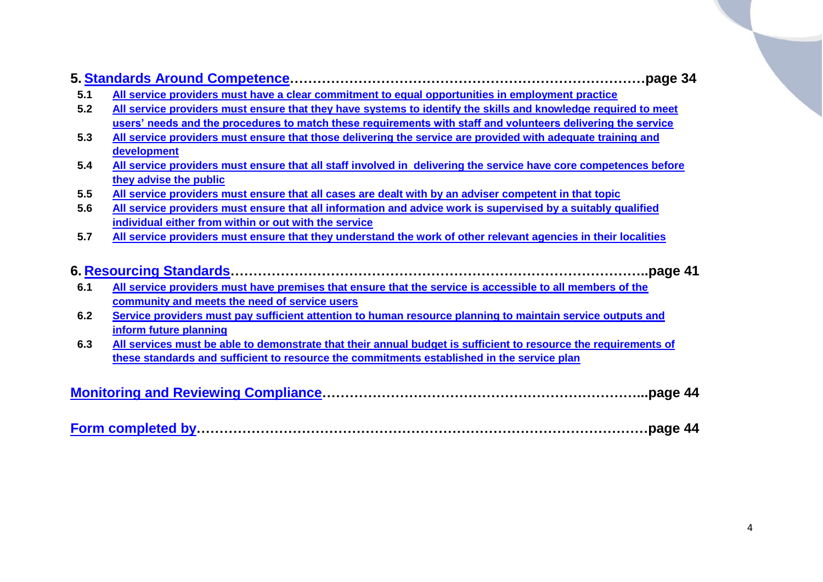|     | page 34.                                                                                                         |
|-----|------------------------------------------------------------------------------------------------------------------|
| 5.1 | All service providers must have a clear commitment to equal opportunities in employment practice                 |
| 5.2 | All service providers must ensure that they have systems to identify the skills and knowledge required to meet   |
|     | users' needs and the procedures to match these requirements with staff and volunteers delivering the service     |
| 5.3 | All service providers must ensure that those delivering the service are provided with adequate training and      |
|     | development                                                                                                      |
| 5.4 | All service providers must ensure that all staff involved in delivering the service have core competences before |
|     | they advise the public                                                                                           |
| 5.5 | All service providers must ensure that all cases are dealt with by an adviser competent in that topic            |
| 5.6 | All service providers must ensure that all information and advice work is supervised by a suitably qualified     |
|     | individual either from within or out with the service                                                            |
| 5.7 | All service providers must ensure that they understand the work of other relevant agencies in their localities   |
|     |                                                                                                                  |
|     | 6. Resourcing Standards……………………………………………………………………………………page 41                                                   |
| 6.1 | All service providers must have premises that ensure that the service is accessible to all members of the        |
|     | community and meets the need of service users                                                                    |
| 6.2 | Service providers must pay sufficient attention to human resource planning to maintain service outputs and       |
|     | inform future planning                                                                                           |
| 6.3 | All services must be able to demonstrate that their annual budget is sufficient to resource the requirements of  |
|     | these standards and sufficient to resource the commitments established in the service plan                       |
|     |                                                                                                                  |
|     |                                                                                                                  |
|     |                                                                                                                  |

|--|--|--|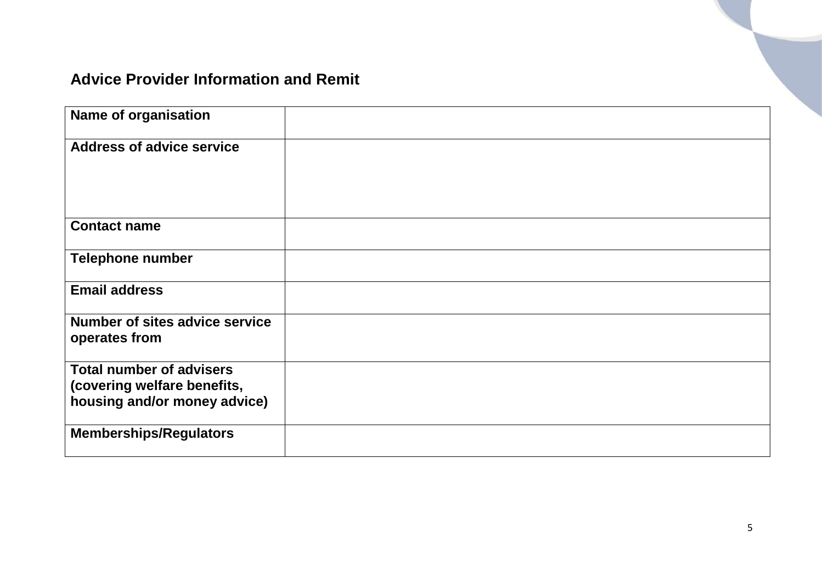## <span id="page-4-0"></span>**Advice Provider Information and Remit**

| <b>Name of organisation</b>                                                                    |  |
|------------------------------------------------------------------------------------------------|--|
| <b>Address of advice service</b>                                                               |  |
| <b>Contact name</b>                                                                            |  |
| <b>Telephone number</b>                                                                        |  |
| <b>Email address</b>                                                                           |  |
| Number of sites advice service<br>operates from                                                |  |
| <b>Total number of advisers</b><br>(covering welfare benefits,<br>housing and/or money advice) |  |
| <b>Memberships/Regulators</b>                                                                  |  |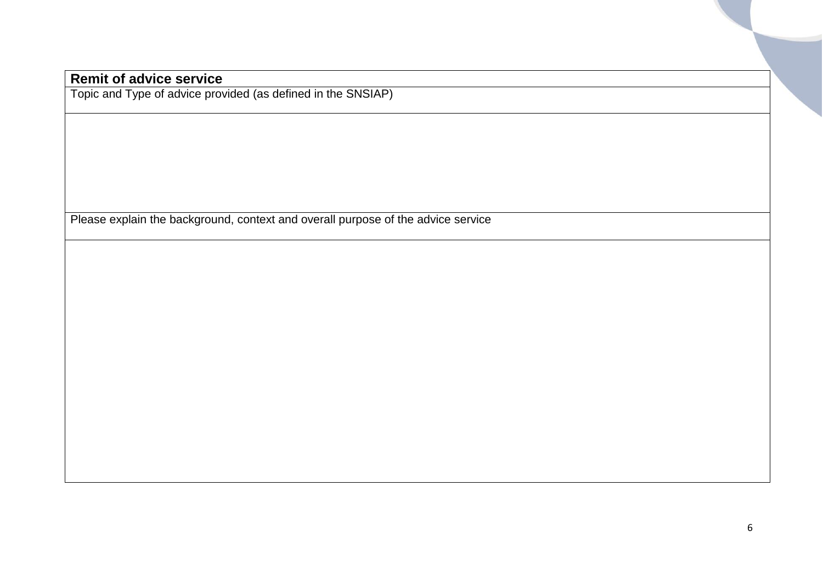#### **Remit of advice service**

Topic and Type of advice provided (as defined in the SNSIAP)

Please explain the background, context and overall purpose of the advice service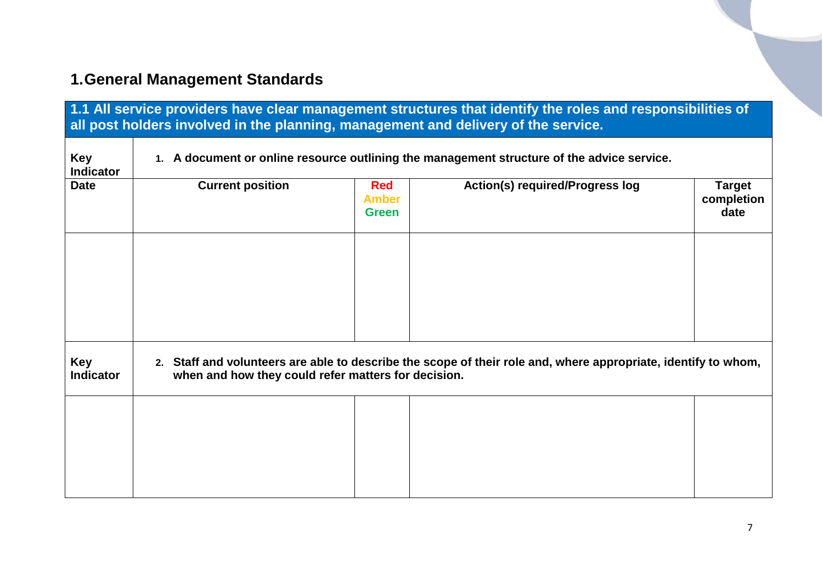# <span id="page-6-0"></span>**1.General Management Standards**

<span id="page-6-1"></span>

| 1.1 All service providers have clear management structures that identify the roles and responsibilities of<br>all post holders involved in the planning, management and delivery of the service. |                                                                                                                                                                       |                                            |                                        |                              |  |
|--------------------------------------------------------------------------------------------------------------------------------------------------------------------------------------------------|-----------------------------------------------------------------------------------------------------------------------------------------------------------------------|--------------------------------------------|----------------------------------------|------------------------------|--|
| <b>Key</b><br><b>Indicator</b>                                                                                                                                                                   | 1. A document or online resource outlining the management structure of the advice service.                                                                            |                                            |                                        |                              |  |
| <b>Date</b>                                                                                                                                                                                      | <b>Current position</b>                                                                                                                                               | <b>Red</b><br><b>Amber</b><br><b>Green</b> | <b>Action(s) required/Progress log</b> | Target<br>completion<br>date |  |
|                                                                                                                                                                                                  |                                                                                                                                                                       |                                            |                                        |                              |  |
|                                                                                                                                                                                                  |                                                                                                                                                                       |                                            |                                        |                              |  |
| Key<br><b>Indicator</b>                                                                                                                                                                          | 2. Staff and volunteers are able to describe the scope of their role and, where appropriate, identify to whom,<br>when and how they could refer matters for decision. |                                            |                                        |                              |  |
|                                                                                                                                                                                                  |                                                                                                                                                                       |                                            |                                        |                              |  |
|                                                                                                                                                                                                  |                                                                                                                                                                       |                                            |                                        |                              |  |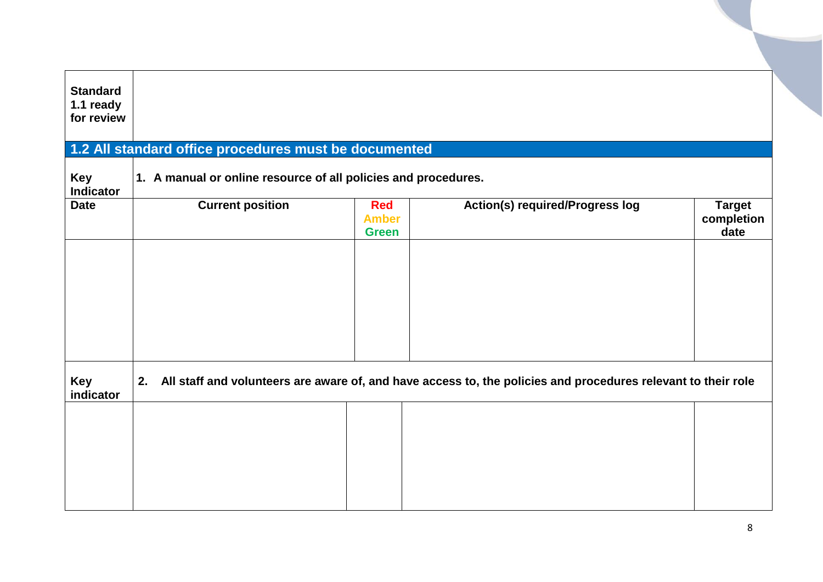<span id="page-7-0"></span>

| <b>Standard</b><br>1.1 ready<br>for review |                                                                |                                            |                                                                                                               |                                     |
|--------------------------------------------|----------------------------------------------------------------|--------------------------------------------|---------------------------------------------------------------------------------------------------------------|-------------------------------------|
|                                            | 1.2 All standard office procedures must be documented          |                                            |                                                                                                               |                                     |
| Key<br><b>Indicator</b>                    | 1. A manual or online resource of all policies and procedures. |                                            |                                                                                                               |                                     |
| <b>Date</b>                                | <b>Current position</b>                                        | <b>Red</b><br><b>Amber</b><br><b>Green</b> | <b>Action(s) required/Progress log</b>                                                                        | <b>Target</b><br>completion<br>date |
|                                            |                                                                |                                            |                                                                                                               |                                     |
|                                            |                                                                |                                            |                                                                                                               |                                     |
|                                            |                                                                |                                            |                                                                                                               |                                     |
|                                            |                                                                |                                            |                                                                                                               |                                     |
| Key<br>indicator                           | 2.                                                             |                                            | All staff and volunteers are aware of, and have access to, the policies and procedures relevant to their role |                                     |
|                                            |                                                                |                                            |                                                                                                               |                                     |
|                                            |                                                                |                                            |                                                                                                               |                                     |
|                                            |                                                                |                                            |                                                                                                               |                                     |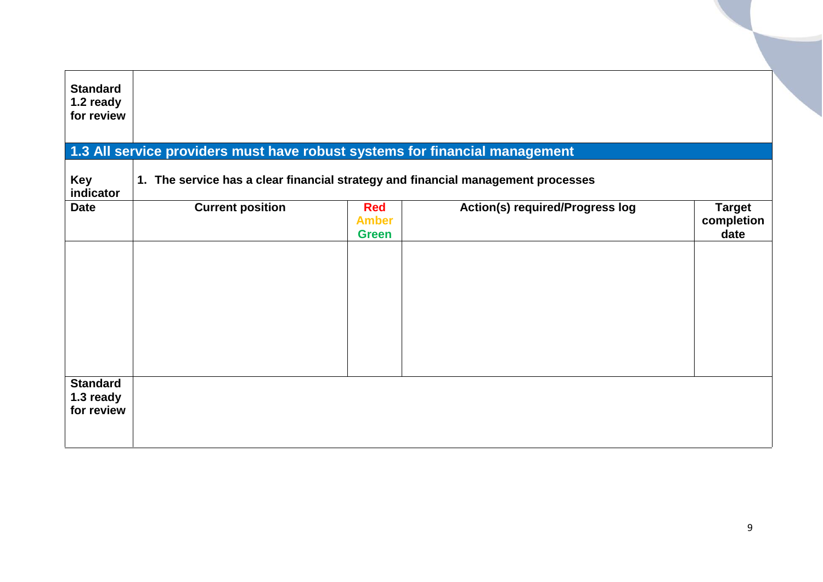<span id="page-8-0"></span>

| <b>Standard</b><br>1.2 ready<br>for review |                                                                                  |                                            |                                        |                                     |
|--------------------------------------------|----------------------------------------------------------------------------------|--------------------------------------------|----------------------------------------|-------------------------------------|
|                                            | 1.3 All service providers must have robust systems for financial management      |                                            |                                        |                                     |
| <b>Key</b><br>indicator                    | 1. The service has a clear financial strategy and financial management processes |                                            |                                        |                                     |
| <b>Date</b>                                | <b>Current position</b>                                                          | <b>Red</b><br><b>Amber</b><br><b>Green</b> | <b>Action(s) required/Progress log</b> | <b>Target</b><br>completion<br>date |
|                                            |                                                                                  |                                            |                                        |                                     |
| <b>Standard</b><br>1.3 ready<br>for review |                                                                                  |                                            |                                        |                                     |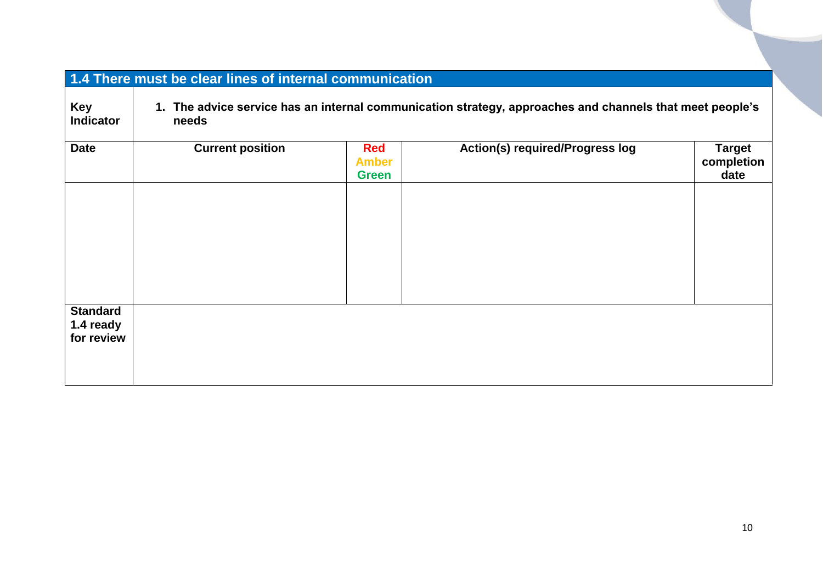<span id="page-9-0"></span>

| 1.4 There must be clear lines of internal communication |                                                                                                                      |                                            |                                        |                                     |  |  |
|---------------------------------------------------------|----------------------------------------------------------------------------------------------------------------------|--------------------------------------------|----------------------------------------|-------------------------------------|--|--|
| Key<br><b>Indicator</b>                                 | The advice service has an internal communication strategy, approaches and channels that meet people's<br>1.<br>needs |                                            |                                        |                                     |  |  |
| <b>Date</b>                                             | <b>Current position</b>                                                                                              | <b>Red</b><br><b>Amber</b><br><b>Green</b> | <b>Action(s) required/Progress log</b> | <b>Target</b><br>completion<br>date |  |  |
|                                                         |                                                                                                                      |                                            |                                        |                                     |  |  |
|                                                         |                                                                                                                      |                                            |                                        |                                     |  |  |
|                                                         |                                                                                                                      |                                            |                                        |                                     |  |  |
| <b>Standard</b><br>1.4 ready<br>for review              |                                                                                                                      |                                            |                                        |                                     |  |  |
|                                                         |                                                                                                                      |                                            |                                        |                                     |  |  |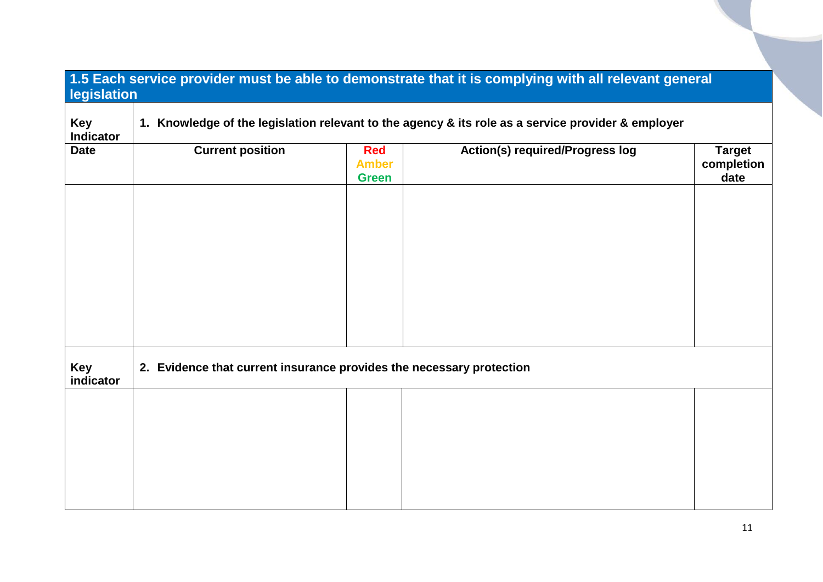<span id="page-10-0"></span>

| 1.5 Each service provider must be able to demonstrate that it is complying with all relevant general<br>legislation |                                                                                                    |                                            |                                        |                                     |  |  |
|---------------------------------------------------------------------------------------------------------------------|----------------------------------------------------------------------------------------------------|--------------------------------------------|----------------------------------------|-------------------------------------|--|--|
| <b>Key</b><br><b>Indicator</b>                                                                                      | 1. Knowledge of the legislation relevant to the agency & its role as a service provider & employer |                                            |                                        |                                     |  |  |
| <b>Date</b>                                                                                                         | <b>Current position</b>                                                                            | <b>Red</b><br><b>Amber</b><br><b>Green</b> | <b>Action(s) required/Progress log</b> | <b>Target</b><br>completion<br>date |  |  |
|                                                                                                                     |                                                                                                    |                                            |                                        |                                     |  |  |
|                                                                                                                     |                                                                                                    |                                            |                                        |                                     |  |  |
|                                                                                                                     |                                                                                                    |                                            |                                        |                                     |  |  |
|                                                                                                                     |                                                                                                    |                                            |                                        |                                     |  |  |
| <b>Key</b><br>indicator                                                                                             | 2. Evidence that current insurance provides the necessary protection                               |                                            |                                        |                                     |  |  |
|                                                                                                                     |                                                                                                    |                                            |                                        |                                     |  |  |
|                                                                                                                     |                                                                                                    |                                            |                                        |                                     |  |  |
|                                                                                                                     |                                                                                                    |                                            |                                        |                                     |  |  |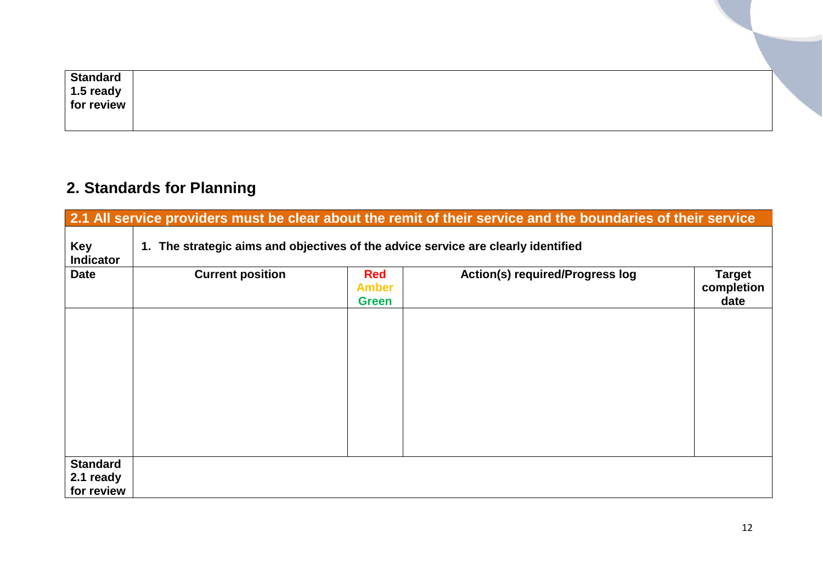| <b>Standard</b>         |  |
|-------------------------|--|
|                         |  |
| 1.5 ready<br>for review |  |
|                         |  |

## <span id="page-11-0"></span>**2. Standards for Planning**

<span id="page-11-1"></span>

|                                            | 2.1 All service providers must be clear about the remit of their service and the boundaries of their service |                                            |                                        |                                     |  |  |
|--------------------------------------------|--------------------------------------------------------------------------------------------------------------|--------------------------------------------|----------------------------------------|-------------------------------------|--|--|
| <b>Key</b><br><b>Indicator</b>             | 1. The strategic aims and objectives of the advice service are clearly identified                            |                                            |                                        |                                     |  |  |
| <b>Date</b>                                | <b>Current position</b>                                                                                      | <b>Red</b><br><b>Amber</b><br><b>Green</b> | <b>Action(s) required/Progress log</b> | <b>Target</b><br>completion<br>date |  |  |
|                                            |                                                                                                              |                                            |                                        |                                     |  |  |
|                                            |                                                                                                              |                                            |                                        |                                     |  |  |
|                                            |                                                                                                              |                                            |                                        |                                     |  |  |
|                                            |                                                                                                              |                                            |                                        |                                     |  |  |
| <b>Standard</b><br>2.1 ready<br>for review |                                                                                                              |                                            |                                        |                                     |  |  |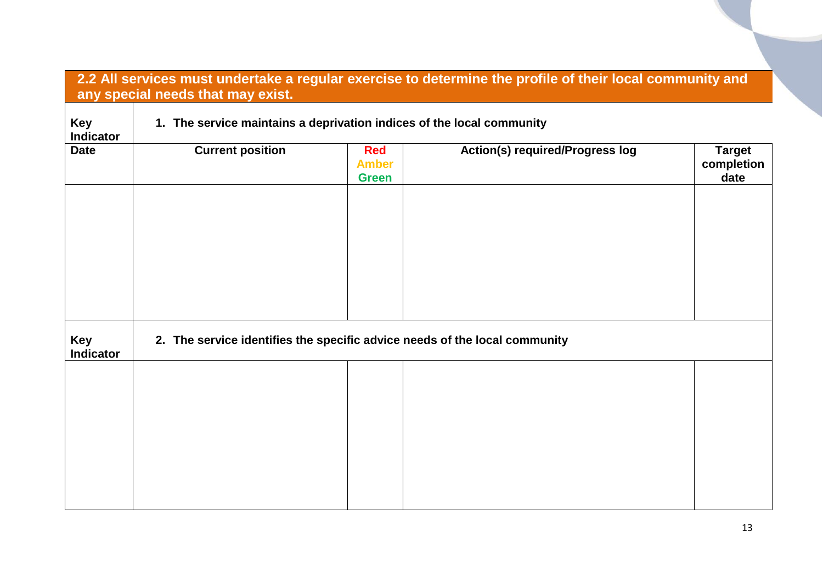<span id="page-12-0"></span>

|                                | any special needs that may exist.                                          |                                            | 2.2 All services must undertake a regular exercise to determine the profile of their local community and |                                     |  |
|--------------------------------|----------------------------------------------------------------------------|--------------------------------------------|----------------------------------------------------------------------------------------------------------|-------------------------------------|--|
| Key<br><b>Indicator</b>        | 1. The service maintains a deprivation indices of the local community      |                                            |                                                                                                          |                                     |  |
| <b>Date</b>                    | <b>Current position</b>                                                    | <b>Red</b><br><b>Amber</b><br><b>Green</b> | <b>Action(s) required/Progress log</b>                                                                   | <b>Target</b><br>completion<br>date |  |
| <b>Key</b><br><b>Indicator</b> | 2. The service identifies the specific advice needs of the local community |                                            |                                                                                                          |                                     |  |
|                                |                                                                            |                                            |                                                                                                          |                                     |  |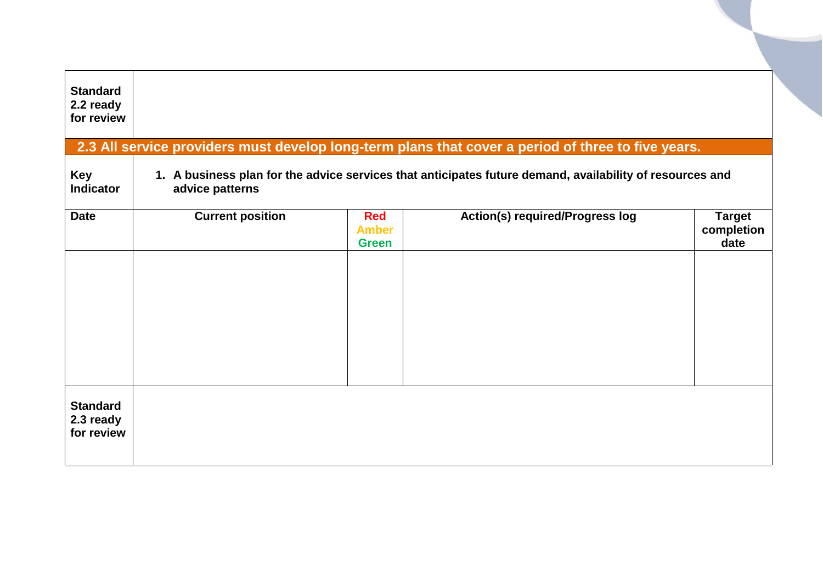<span id="page-13-0"></span>

| <b>Standard</b><br>2.2 ready<br>for review |                         |                                            |                                                                                                          |                                     |
|--------------------------------------------|-------------------------|--------------------------------------------|----------------------------------------------------------------------------------------------------------|-------------------------------------|
|                                            |                         |                                            | 2.3 All service providers must develop long-term plans that cover a period of three to five years.       |                                     |
| <b>Key</b><br><b>Indicator</b>             | advice patterns         |                                            | 1. A business plan for the advice services that anticipates future demand, availability of resources and |                                     |
| <b>Date</b>                                | <b>Current position</b> | <b>Red</b><br><b>Amber</b><br><b>Green</b> | <b>Action(s) required/Progress log</b>                                                                   | <b>Target</b><br>completion<br>date |
|                                            |                         |                                            |                                                                                                          |                                     |
| <b>Standard</b><br>2.3 ready<br>for review |                         |                                            |                                                                                                          |                                     |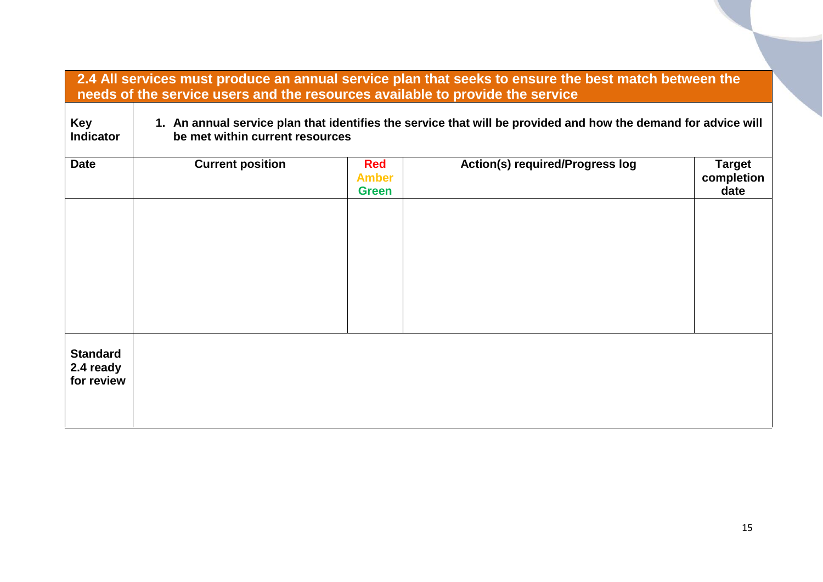<span id="page-14-0"></span>

| 2.4 All services must produce an annual service plan that seeks to ensure the best match between the<br>needs of the service users and the resources available to provide the service |                                                                                                                                                   |                                            |                                        |                                     |  |
|---------------------------------------------------------------------------------------------------------------------------------------------------------------------------------------|---------------------------------------------------------------------------------------------------------------------------------------------------|--------------------------------------------|----------------------------------------|-------------------------------------|--|
| <b>Key</b><br><b>Indicator</b>                                                                                                                                                        | 1. An annual service plan that identifies the service that will be provided and how the demand for advice will<br>be met within current resources |                                            |                                        |                                     |  |
| <b>Date</b>                                                                                                                                                                           | <b>Current position</b>                                                                                                                           | <b>Red</b><br><b>Amber</b><br><b>Green</b> | <b>Action(s) required/Progress log</b> | <b>Target</b><br>completion<br>date |  |
|                                                                                                                                                                                       |                                                                                                                                                   |                                            |                                        |                                     |  |
|                                                                                                                                                                                       |                                                                                                                                                   |                                            |                                        |                                     |  |
|                                                                                                                                                                                       |                                                                                                                                                   |                                            |                                        |                                     |  |
| <b>Standard</b><br>2.4 ready<br>for review                                                                                                                                            |                                                                                                                                                   |                                            |                                        |                                     |  |
|                                                                                                                                                                                       |                                                                                                                                                   |                                            |                                        |                                     |  |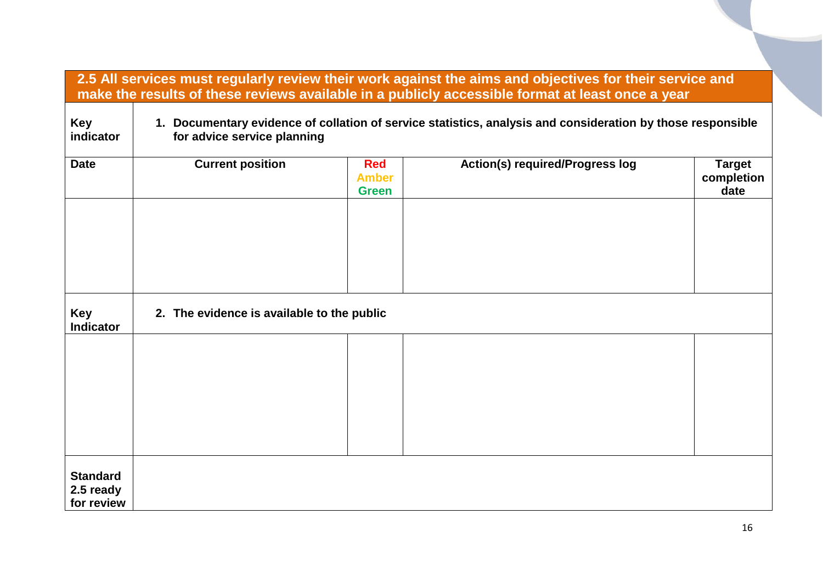<span id="page-15-0"></span>

|                                            | 2.5 All services must regularly review their work against the aims and objectives for their service and<br>make the results of these reviews available in a publicly accessible format at least once a year |                                            |                                        |                                     |  |  |
|--------------------------------------------|-------------------------------------------------------------------------------------------------------------------------------------------------------------------------------------------------------------|--------------------------------------------|----------------------------------------|-------------------------------------|--|--|
| <b>Key</b><br>indicator                    | 1. Documentary evidence of collation of service statistics, analysis and consideration by those responsible<br>for advice service planning                                                                  |                                            |                                        |                                     |  |  |
| <b>Date</b>                                | <b>Current position</b>                                                                                                                                                                                     | <b>Red</b><br><b>Amber</b><br><b>Green</b> | <b>Action(s) required/Progress log</b> | <b>Target</b><br>completion<br>date |  |  |
| Key<br><b>Indicator</b>                    | 2. The evidence is available to the public                                                                                                                                                                  |                                            |                                        |                                     |  |  |
|                                            |                                                                                                                                                                                                             |                                            |                                        |                                     |  |  |
| <b>Standard</b><br>2.5 ready<br>for review |                                                                                                                                                                                                             |                                            |                                        |                                     |  |  |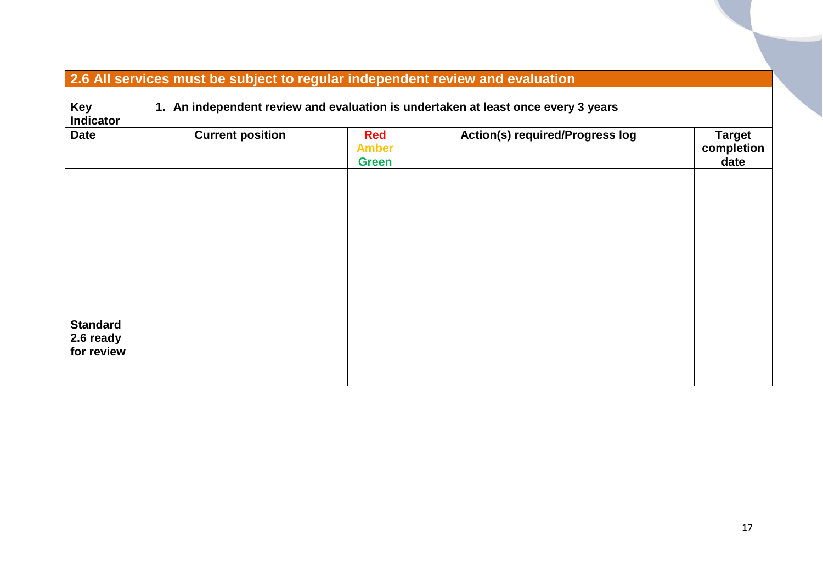<span id="page-16-0"></span>

| 2.6 All services must be subject to regular independent review and evaluation |                                                                                   |                                            |                                 |                                     |  |  |
|-------------------------------------------------------------------------------|-----------------------------------------------------------------------------------|--------------------------------------------|---------------------------------|-------------------------------------|--|--|
| <b>Key</b><br><b>Indicator</b>                                                | 1. An independent review and evaluation is undertaken at least once every 3 years |                                            |                                 |                                     |  |  |
| <b>Date</b>                                                                   | <b>Current position</b>                                                           | <b>Red</b><br><b>Amber</b><br><b>Green</b> | Action(s) required/Progress log | <b>Target</b><br>completion<br>date |  |  |
|                                                                               |                                                                                   |                                            |                                 |                                     |  |  |
|                                                                               |                                                                                   |                                            |                                 |                                     |  |  |
|                                                                               |                                                                                   |                                            |                                 |                                     |  |  |
| <b>Standard</b><br>2.6 ready<br>for review                                    |                                                                                   |                                            |                                 |                                     |  |  |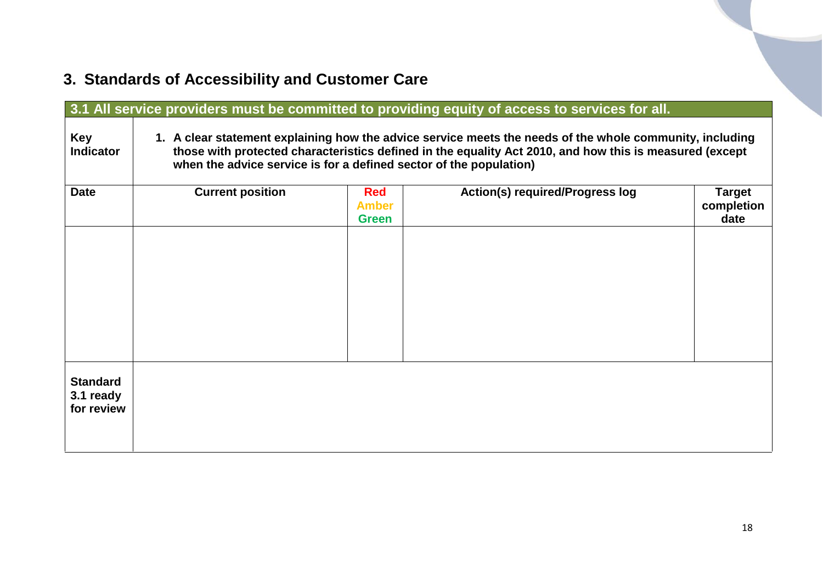# <span id="page-17-0"></span>**3. Standards of Accessibility and Customer Care**

<span id="page-17-1"></span>

| 3.1 All service providers must be committed to providing equity of access to services for all. |                                                                                                                                                                                                                                                                                           |                                            |                                        |                                     |  |
|------------------------------------------------------------------------------------------------|-------------------------------------------------------------------------------------------------------------------------------------------------------------------------------------------------------------------------------------------------------------------------------------------|--------------------------------------------|----------------------------------------|-------------------------------------|--|
| <b>Key</b><br><b>Indicator</b>                                                                 | 1. A clear statement explaining how the advice service meets the needs of the whole community, including<br>those with protected characteristics defined in the equality Act 2010, and how this is measured (except<br>when the advice service is for a defined sector of the population) |                                            |                                        |                                     |  |
| <b>Date</b>                                                                                    | <b>Current position</b>                                                                                                                                                                                                                                                                   | <b>Red</b><br><b>Amber</b><br><b>Green</b> | <b>Action(s) required/Progress log</b> | <b>Target</b><br>completion<br>date |  |
|                                                                                                |                                                                                                                                                                                                                                                                                           |                                            |                                        |                                     |  |
|                                                                                                |                                                                                                                                                                                                                                                                                           |                                            |                                        |                                     |  |
|                                                                                                |                                                                                                                                                                                                                                                                                           |                                            |                                        |                                     |  |
| <b>Standard</b><br>3.1 ready<br>for review                                                     |                                                                                                                                                                                                                                                                                           |                                            |                                        |                                     |  |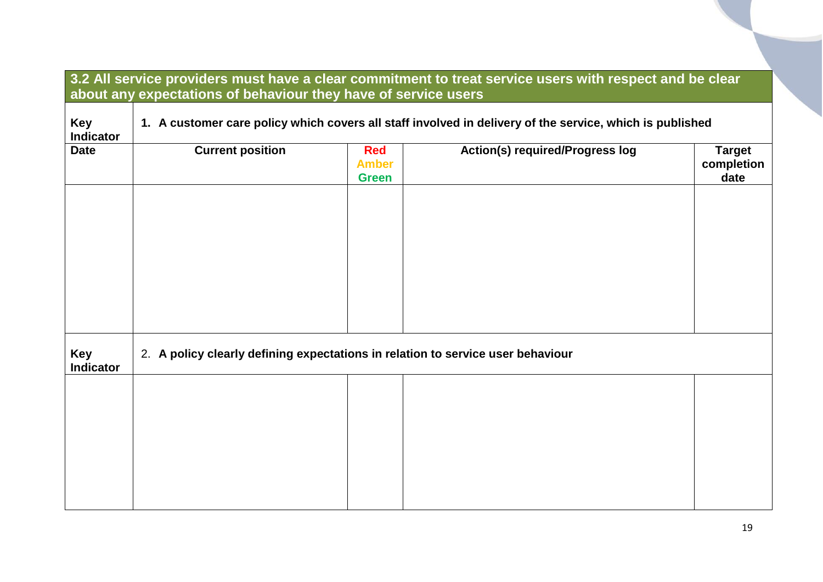<span id="page-18-0"></span>

|                                | 3.2 All service providers must have a clear commitment to treat service users with respect and be clear<br>about any expectations of behaviour they have of service users |                                            |                                        |                                     |  |
|--------------------------------|---------------------------------------------------------------------------------------------------------------------------------------------------------------------------|--------------------------------------------|----------------------------------------|-------------------------------------|--|
| <b>Key</b><br><b>Indicator</b> | 1. A customer care policy which covers all staff involved in delivery of the service, which is published                                                                  |                                            |                                        |                                     |  |
| <b>Date</b>                    | <b>Current position</b>                                                                                                                                                   | <b>Red</b><br><b>Amber</b><br><b>Green</b> | <b>Action(s) required/Progress log</b> | <b>Target</b><br>completion<br>date |  |
| <b>Key</b><br><b>Indicator</b> | 2. A policy clearly defining expectations in relation to service user behaviour                                                                                           |                                            |                                        |                                     |  |
|                                |                                                                                                                                                                           |                                            |                                        |                                     |  |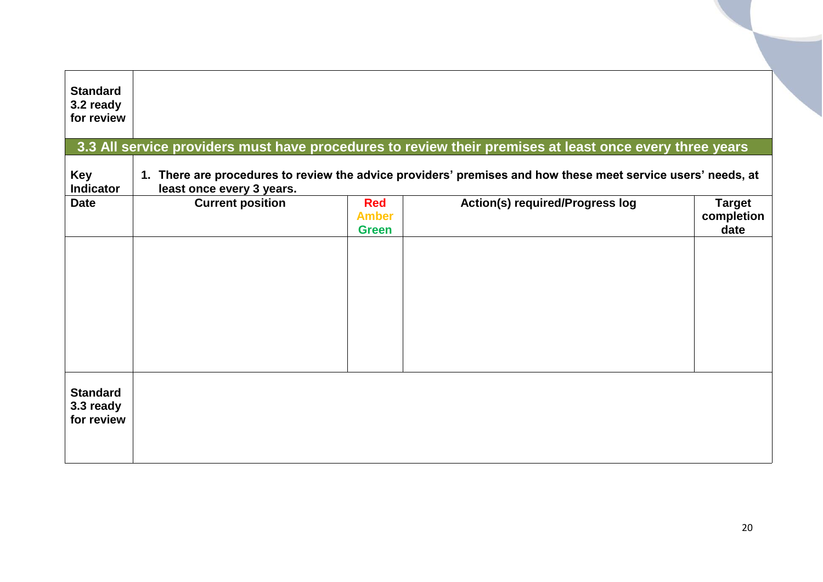<span id="page-19-0"></span>

| <b>Standard</b><br>3.2 ready<br>for review |                           |                                            | 3.3 All service providers must have procedures to review their premises at least once every three years      |                                     |
|--------------------------------------------|---------------------------|--------------------------------------------|--------------------------------------------------------------------------------------------------------------|-------------------------------------|
| Key<br><b>Indicator</b>                    | least once every 3 years. |                                            | 1. There are procedures to review the advice providers' premises and how these meet service users' needs, at |                                     |
| <b>Date</b>                                | <b>Current position</b>   | <b>Red</b><br><b>Amber</b><br><b>Green</b> | <b>Action(s) required/Progress log</b>                                                                       | <b>Target</b><br>completion<br>date |
|                                            |                           |                                            |                                                                                                              |                                     |
|                                            |                           |                                            |                                                                                                              |                                     |
|                                            |                           |                                            |                                                                                                              |                                     |
| <b>Standard</b><br>3.3 ready<br>for review |                           |                                            |                                                                                                              |                                     |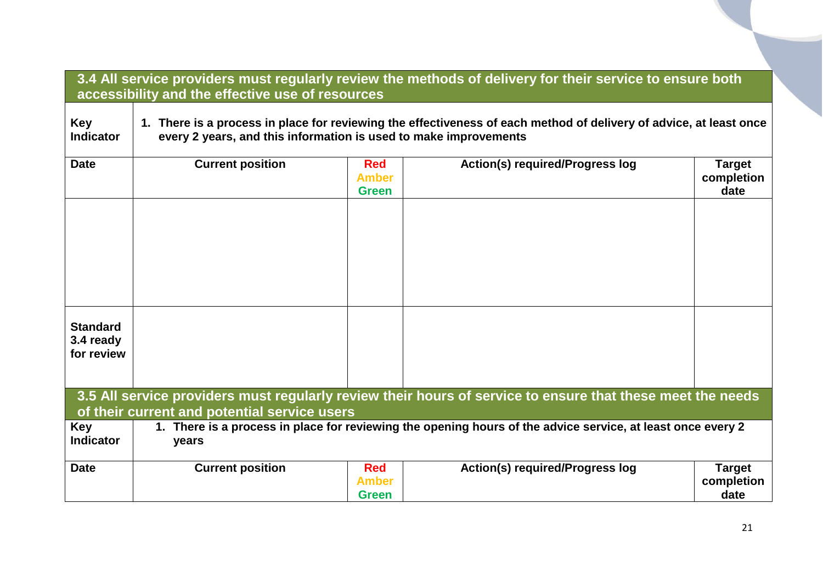<span id="page-20-1"></span><span id="page-20-0"></span>

|                                            | 3.4 All service providers must regularly review the methods of delivery for their service to ensure both<br>accessibility and the effective use of resources                           |                                            |                                                                                                            |                                     |  |  |
|--------------------------------------------|----------------------------------------------------------------------------------------------------------------------------------------------------------------------------------------|--------------------------------------------|------------------------------------------------------------------------------------------------------------|-------------------------------------|--|--|
| <b>Key</b><br><b>Indicator</b>             | 1. There is a process in place for reviewing the effectiveness of each method of delivery of advice, at least once<br>every 2 years, and this information is used to make improvements |                                            |                                                                                                            |                                     |  |  |
| <b>Date</b>                                | <b>Current position</b>                                                                                                                                                                | <b>Red</b><br><b>Amber</b><br><b>Green</b> | <b>Action(s) required/Progress log</b>                                                                     | <b>Target</b><br>completion<br>date |  |  |
|                                            |                                                                                                                                                                                        |                                            |                                                                                                            |                                     |  |  |
|                                            |                                                                                                                                                                                        |                                            |                                                                                                            |                                     |  |  |
|                                            |                                                                                                                                                                                        |                                            |                                                                                                            |                                     |  |  |
| <b>Standard</b><br>3.4 ready<br>for review |                                                                                                                                                                                        |                                            |                                                                                                            |                                     |  |  |
|                                            |                                                                                                                                                                                        |                                            | 3.5 All service providers must regularly review their hours of service to ensure that these meet the needs |                                     |  |  |
|                                            | of their current and potential service users                                                                                                                                           |                                            |                                                                                                            |                                     |  |  |
| <b>Key</b><br><b>Indicator</b>             | 1. There is a process in place for reviewing the opening hours of the advice service, at least once every 2<br>years                                                                   |                                            |                                                                                                            |                                     |  |  |
| <b>Date</b>                                | <b>Current position</b>                                                                                                                                                                | <b>Red</b><br><b>Amber</b><br><b>Green</b> | <b>Action(s) required/Progress log</b>                                                                     | <b>Target</b><br>completion<br>date |  |  |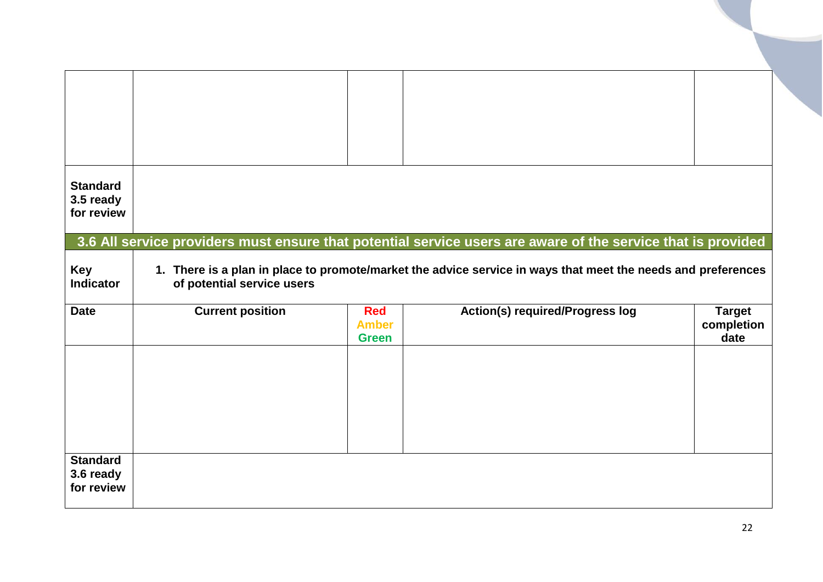<span id="page-21-0"></span>

| <b>Standard</b><br>3.5 ready<br>for review |                            |                                            |                                                                                                                                                                                                                              |                                     |
|--------------------------------------------|----------------------------|--------------------------------------------|------------------------------------------------------------------------------------------------------------------------------------------------------------------------------------------------------------------------------|-------------------------------------|
| <b>Key</b><br><b>Indicator</b>             | of potential service users |                                            | 3.6 All service providers must ensure that potential service users are aware of the service that is provided<br>1. There is a plan in place to promote/market the advice service in ways that meet the needs and preferences |                                     |
| <b>Date</b>                                | <b>Current position</b>    | <b>Red</b><br><b>Amber</b><br><b>Green</b> | Action(s) required/Progress log                                                                                                                                                                                              | <b>Target</b><br>completion<br>date |
| <b>Standard</b><br>3.6 ready<br>for review |                            |                                            |                                                                                                                                                                                                                              |                                     |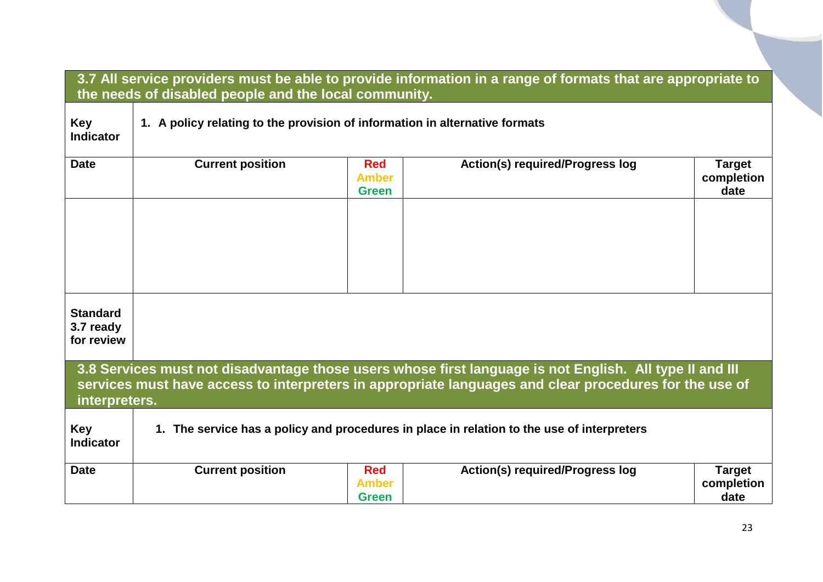<span id="page-22-1"></span><span id="page-22-0"></span>

|                                            | 3.7 All service providers must be able to provide information in a range of formats that are appropriate to<br>the needs of disabled people and the local community.                                                               |                                            |                                        |                                     |  |  |
|--------------------------------------------|------------------------------------------------------------------------------------------------------------------------------------------------------------------------------------------------------------------------------------|--------------------------------------------|----------------------------------------|-------------------------------------|--|--|
| <b>Key</b><br><b>Indicator</b>             | 1. A policy relating to the provision of information in alternative formats                                                                                                                                                        |                                            |                                        |                                     |  |  |
| <b>Date</b>                                | <b>Current position</b>                                                                                                                                                                                                            | <b>Red</b><br><b>Amber</b><br><b>Green</b> | <b>Action(s) required/Progress log</b> | <b>Target</b><br>completion<br>date |  |  |
|                                            |                                                                                                                                                                                                                                    |                                            |                                        |                                     |  |  |
|                                            |                                                                                                                                                                                                                                    |                                            |                                        |                                     |  |  |
| <b>Standard</b><br>3.7 ready<br>for review |                                                                                                                                                                                                                                    |                                            |                                        |                                     |  |  |
|                                            | 3.8 Services must not disadvantage those users whose first language is not English. All type II and III<br>services must have access to interpreters in appropriate languages and clear procedures for the use of<br>interpreters. |                                            |                                        |                                     |  |  |
| <b>Key</b><br><b>Indicator</b>             | 1. The service has a policy and procedures in place in relation to the use of interpreters                                                                                                                                         |                                            |                                        |                                     |  |  |
| <b>Date</b>                                | <b>Current position</b>                                                                                                                                                                                                            | <b>Red</b><br><b>Amber</b><br><b>Green</b> | <b>Action(s) required/Progress log</b> | <b>Target</b><br>completion<br>date |  |  |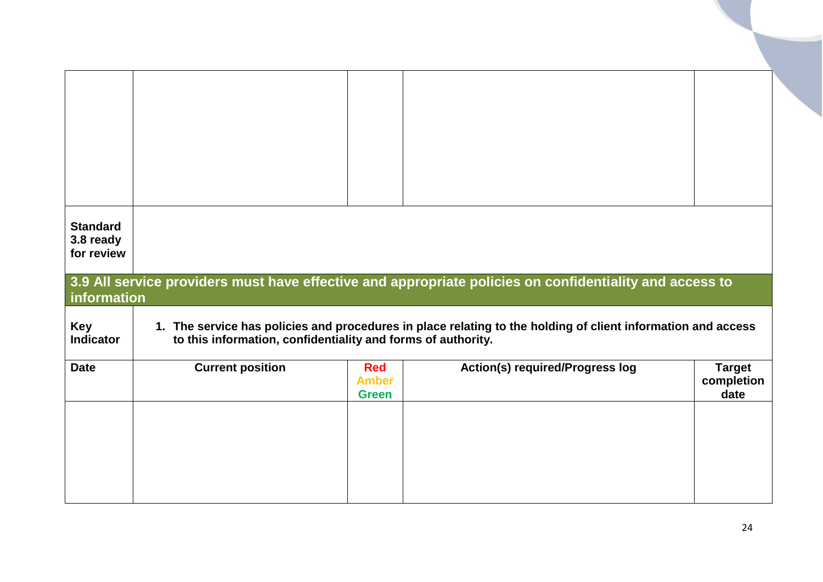<span id="page-23-0"></span>

| <b>Standard</b><br>3.8 ready<br>for review |                                                              |                                            | 3.9 All service providers must have effective and appropriate policies on confidentiality and access to      |                                     |
|--------------------------------------------|--------------------------------------------------------------|--------------------------------------------|--------------------------------------------------------------------------------------------------------------|-------------------------------------|
| information                                |                                                              |                                            |                                                                                                              |                                     |
| <b>Key</b><br><b>Indicator</b>             | to this information, confidentiality and forms of authority. |                                            | 1. The service has policies and procedures in place relating to the holding of client information and access |                                     |
| <b>Date</b>                                | <b>Current position</b>                                      | <b>Red</b><br><b>Amber</b><br><b>Green</b> | <b>Action(s) required/Progress log</b>                                                                       | <b>Target</b><br>completion<br>date |
|                                            |                                                              |                                            |                                                                                                              |                                     |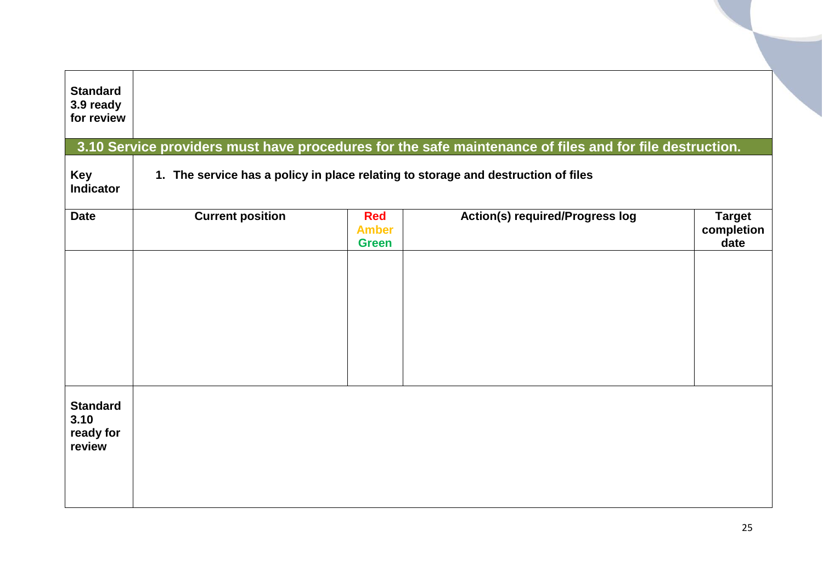<span id="page-24-0"></span>

| <b>Standard</b><br>3.9 ready<br>for review     |                         |                                            | 3.10 Service providers must have procedures for the safe maintenance of files and for file destruction. |                                     |
|------------------------------------------------|-------------------------|--------------------------------------------|---------------------------------------------------------------------------------------------------------|-------------------------------------|
| <b>Key</b><br><b>Indicator</b>                 |                         |                                            | 1. The service has a policy in place relating to storage and destruction of files                       |                                     |
| <b>Date</b>                                    | <b>Current position</b> | <b>Red</b><br><b>Amber</b><br><b>Green</b> | <b>Action(s) required/Progress log</b>                                                                  | <b>Target</b><br>completion<br>date |
| <b>Standard</b><br>3.10<br>ready for<br>review |                         |                                            |                                                                                                         |                                     |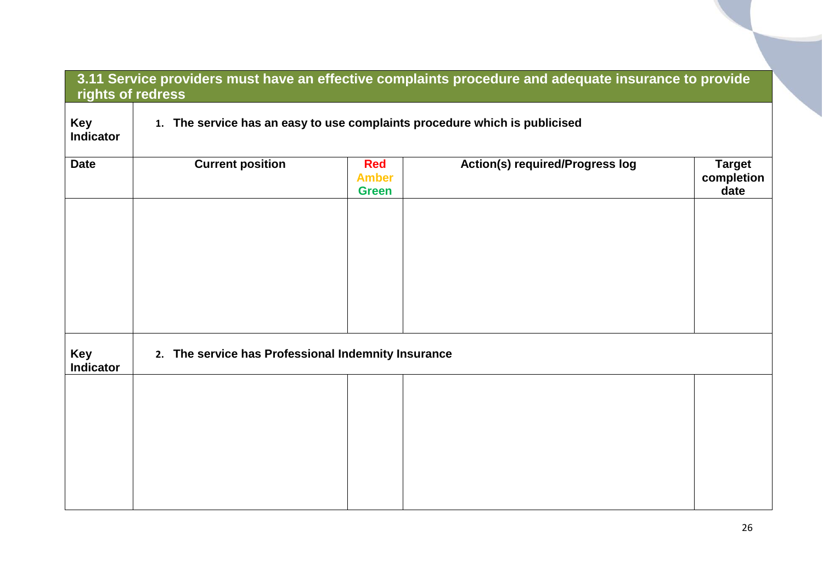<span id="page-25-0"></span>

| rights of redress              |                                                                            |                                            | 3.11 Service providers must have an effective complaints procedure and adequate insurance to provide |                                     |  |
|--------------------------------|----------------------------------------------------------------------------|--------------------------------------------|------------------------------------------------------------------------------------------------------|-------------------------------------|--|
| <b>Key</b><br><b>Indicator</b> | 1. The service has an easy to use complaints procedure which is publicised |                                            |                                                                                                      |                                     |  |
| <b>Date</b>                    | <b>Current position</b>                                                    | <b>Red</b><br><b>Amber</b><br><b>Green</b> | <b>Action(s) required/Progress log</b>                                                               | <b>Target</b><br>completion<br>date |  |
|                                |                                                                            |                                            |                                                                                                      |                                     |  |
|                                |                                                                            |                                            |                                                                                                      |                                     |  |
| <b>Key</b><br><b>Indicator</b> | 2. The service has Professional Indemnity Insurance                        |                                            |                                                                                                      |                                     |  |
|                                |                                                                            |                                            |                                                                                                      |                                     |  |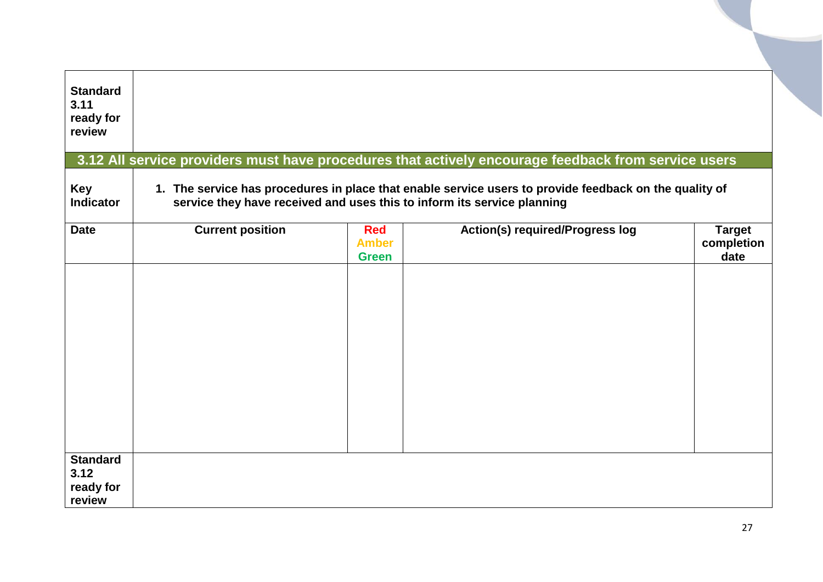<span id="page-26-0"></span>

| <b>Standard</b><br>3.11<br>ready for<br>review |                         |                                            |                                                                                                                                                                                   |                                     |
|------------------------------------------------|-------------------------|--------------------------------------------|-----------------------------------------------------------------------------------------------------------------------------------------------------------------------------------|-------------------------------------|
|                                                |                         |                                            | 3.12 All service providers must have procedures that actively encourage feedback from service users                                                                               |                                     |
| <b>Key</b><br><b>Indicator</b>                 |                         |                                            | 1. The service has procedures in place that enable service users to provide feedback on the quality of<br>service they have received and uses this to inform its service planning |                                     |
| <b>Date</b>                                    | <b>Current position</b> | <b>Red</b><br><b>Amber</b><br><b>Green</b> | <b>Action(s) required/Progress log</b>                                                                                                                                            | <b>Target</b><br>completion<br>date |
|                                                |                         |                                            |                                                                                                                                                                                   |                                     |
| <b>Standard</b><br>3.12<br>ready for<br>review |                         |                                            |                                                                                                                                                                                   |                                     |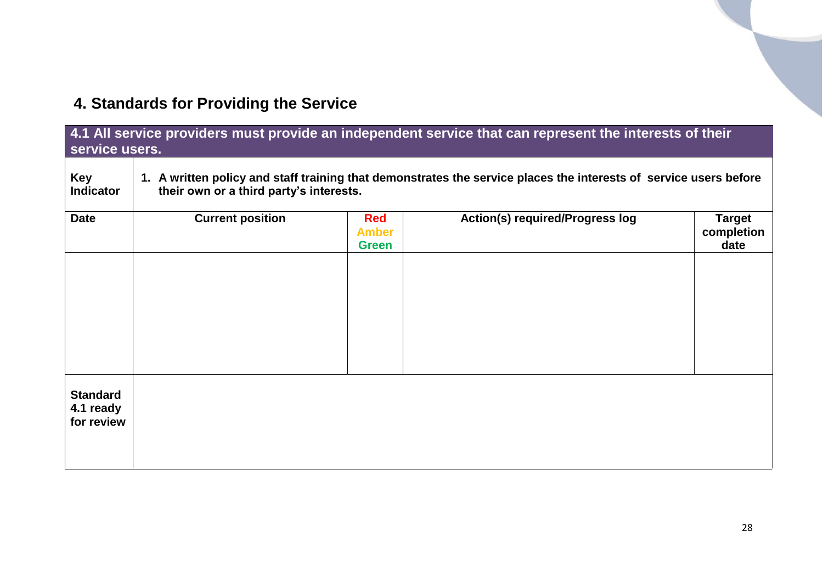# <span id="page-27-0"></span>**4. Standards for Providing the Service**

<span id="page-27-1"></span>

| 4.1 All service providers must provide an independent service that can represent the interests of their<br>service users. |                                                                                                                                                              |                                            |                                        |                                     |  |  |
|---------------------------------------------------------------------------------------------------------------------------|--------------------------------------------------------------------------------------------------------------------------------------------------------------|--------------------------------------------|----------------------------------------|-------------------------------------|--|--|
| <b>Key</b><br><b>Indicator</b>                                                                                            | 1. A written policy and staff training that demonstrates the service places the interests of service users before<br>their own or a third party's interests. |                                            |                                        |                                     |  |  |
| <b>Date</b>                                                                                                               | <b>Current position</b>                                                                                                                                      | <b>Red</b><br><b>Amber</b><br><b>Green</b> | <b>Action(s) required/Progress log</b> | <b>Target</b><br>completion<br>date |  |  |
|                                                                                                                           |                                                                                                                                                              |                                            |                                        |                                     |  |  |
|                                                                                                                           |                                                                                                                                                              |                                            |                                        |                                     |  |  |
|                                                                                                                           |                                                                                                                                                              |                                            |                                        |                                     |  |  |
| <b>Standard</b><br>4.1 ready<br>for review                                                                                |                                                                                                                                                              |                                            |                                        |                                     |  |  |
|                                                                                                                           |                                                                                                                                                              |                                            |                                        |                                     |  |  |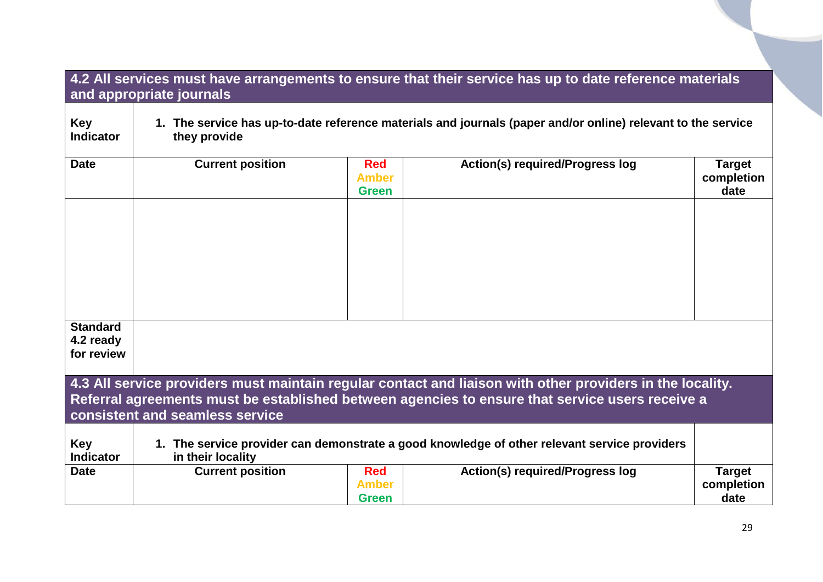<span id="page-28-0"></span>

|                                            | 4.2 All services must have arrangements to ensure that their service has up to date reference materials<br>and appropriate journals |                                            |                                                                                                                                                                                                              |                                     |  |  |  |  |
|--------------------------------------------|-------------------------------------------------------------------------------------------------------------------------------------|--------------------------------------------|--------------------------------------------------------------------------------------------------------------------------------------------------------------------------------------------------------------|-------------------------------------|--|--|--|--|
| <b>Key</b><br><b>Indicator</b>             | they provide                                                                                                                        |                                            | 1. The service has up-to-date reference materials and journals (paper and/or online) relevant to the service                                                                                                 |                                     |  |  |  |  |
| <b>Date</b>                                | <b>Current position</b>                                                                                                             | <b>Red</b><br><b>Amber</b><br><b>Green</b> | <b>Action(s) required/Progress log</b>                                                                                                                                                                       | <b>Target</b><br>completion<br>date |  |  |  |  |
|                                            |                                                                                                                                     |                                            |                                                                                                                                                                                                              |                                     |  |  |  |  |
|                                            |                                                                                                                                     |                                            |                                                                                                                                                                                                              |                                     |  |  |  |  |
|                                            |                                                                                                                                     |                                            |                                                                                                                                                                                                              |                                     |  |  |  |  |
| <b>Standard</b><br>4.2 ready<br>for review |                                                                                                                                     |                                            |                                                                                                                                                                                                              |                                     |  |  |  |  |
|                                            | consistent and seamless service                                                                                                     |                                            | 4.3 All service providers must maintain regular contact and liaison with other providers in the locality.<br>Referral agreements must be established between agencies to ensure that service users receive a |                                     |  |  |  |  |
| Key<br><b>Indicator</b>                    | in their locality                                                                                                                   |                                            | 1. The service provider can demonstrate a good knowledge of other relevant service providers                                                                                                                 |                                     |  |  |  |  |
| <b>Date</b>                                | <b>Current position</b>                                                                                                             | <b>Red</b><br><b>Amber</b><br><b>Green</b> | <b>Action(s) required/Progress log</b>                                                                                                                                                                       | <b>Target</b><br>completion<br>date |  |  |  |  |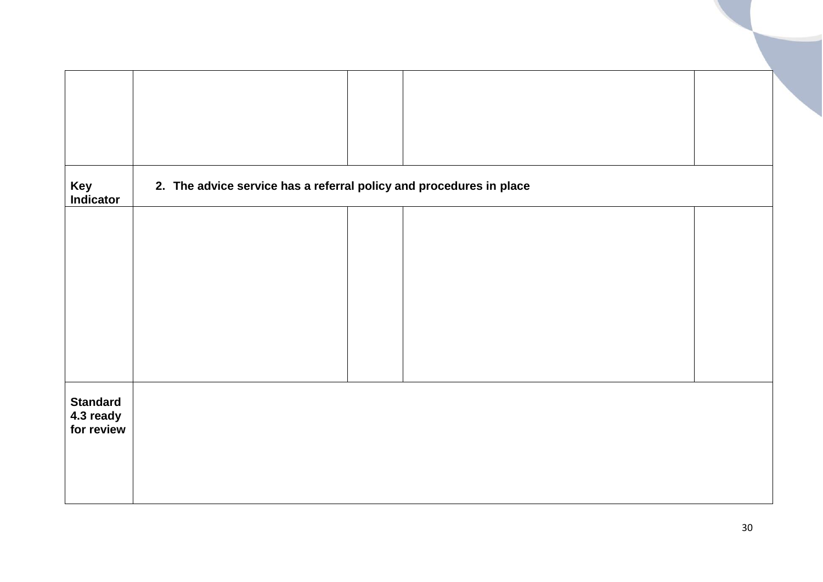| Key<br>Indicator                           | 2. The advice service has a referral policy and procedures in place |  |  |
|--------------------------------------------|---------------------------------------------------------------------|--|--|
|                                            |                                                                     |  |  |
|                                            |                                                                     |  |  |
|                                            |                                                                     |  |  |
|                                            |                                                                     |  |  |
|                                            |                                                                     |  |  |
| <b>Standard</b><br>4.3 ready<br>for review |                                                                     |  |  |
|                                            |                                                                     |  |  |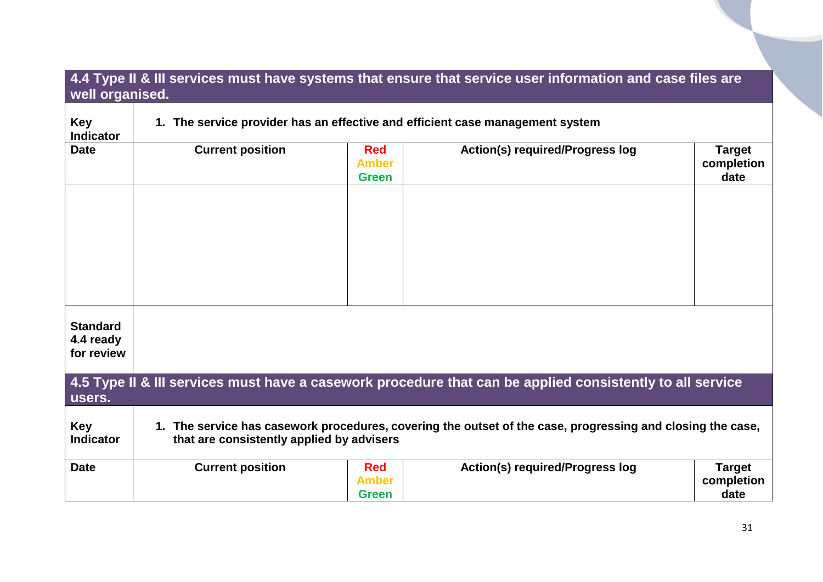### <span id="page-30-0"></span>**4.4 Type II & III services must have systems that ensure that service user information and case files are well organised.**

<span id="page-30-1"></span>

| <b>Key</b><br><b>Indicator</b>             |                                           |                                            | 1. The service provider has an effective and efficient case management system                              |                                     |
|--------------------------------------------|-------------------------------------------|--------------------------------------------|------------------------------------------------------------------------------------------------------------|-------------------------------------|
| <b>Date</b>                                | <b>Current position</b>                   | <b>Red</b><br><b>Amber</b><br><b>Green</b> | <b>Action(s) required/Progress log</b>                                                                     | <b>Target</b><br>completion<br>date |
|                                            |                                           |                                            |                                                                                                            |                                     |
|                                            |                                           |                                            |                                                                                                            |                                     |
|                                            |                                           |                                            |                                                                                                            |                                     |
| <b>Standard</b><br>4.4 ready<br>for review |                                           |                                            |                                                                                                            |                                     |
| users.                                     |                                           |                                            | 4.5 Type II & III services must have a casework procedure that can be applied consistently to all service  |                                     |
| <b>Key</b><br><b>Indicator</b>             | that are consistently applied by advisers |                                            | 1. The service has casework procedures, covering the outset of the case, progressing and closing the case, |                                     |
| <b>Date</b>                                | <b>Current position</b>                   | <b>Red</b><br><b>Amber</b><br><b>Green</b> | <b>Action(s) required/Progress log</b>                                                                     | <b>Target</b><br>completion<br>date |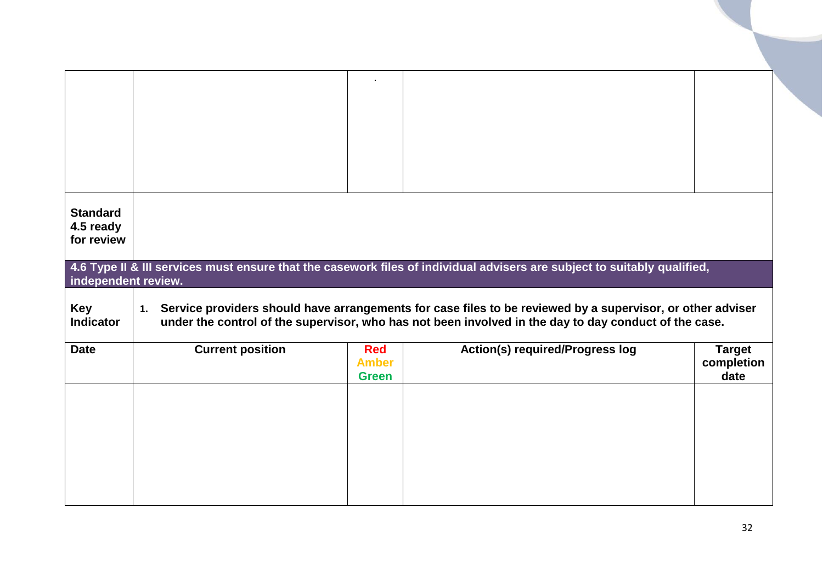<span id="page-31-0"></span>

| <b>Standard</b>                |                         |                              |                                                                                                                                                                                                                        |                    |
|--------------------------------|-------------------------|------------------------------|------------------------------------------------------------------------------------------------------------------------------------------------------------------------------------------------------------------------|--------------------|
| 4.5 ready<br>for review        |                         |                              |                                                                                                                                                                                                                        |                    |
|                                |                         |                              |                                                                                                                                                                                                                        |                    |
| independent review.            |                         |                              | 4.6 Type II & III services must ensure that the casework files of individual advisers are subject to suitably qualified,                                                                                               |                    |
|                                |                         |                              |                                                                                                                                                                                                                        |                    |
| <b>Key</b><br><b>Indicator</b> |                         |                              | 1. Service providers should have arrangements for case files to be reviewed by a supervisor, or other adviser<br>under the control of the supervisor, who has not been involved in the day to day conduct of the case. |                    |
| <b>Date</b>                    | <b>Current position</b> | <b>Red</b>                   | <b>Action(s) required/Progress log</b>                                                                                                                                                                                 | <b>Target</b>      |
|                                |                         | <b>Amber</b><br><b>Green</b> |                                                                                                                                                                                                                        | completion<br>date |
|                                |                         |                              |                                                                                                                                                                                                                        |                    |
|                                |                         |                              |                                                                                                                                                                                                                        |                    |
|                                |                         |                              |                                                                                                                                                                                                                        |                    |
|                                |                         |                              |                                                                                                                                                                                                                        |                    |
|                                |                         |                              |                                                                                                                                                                                                                        |                    |
|                                |                         |                              |                                                                                                                                                                                                                        |                    |
|                                |                         |                              |                                                                                                                                                                                                                        |                    |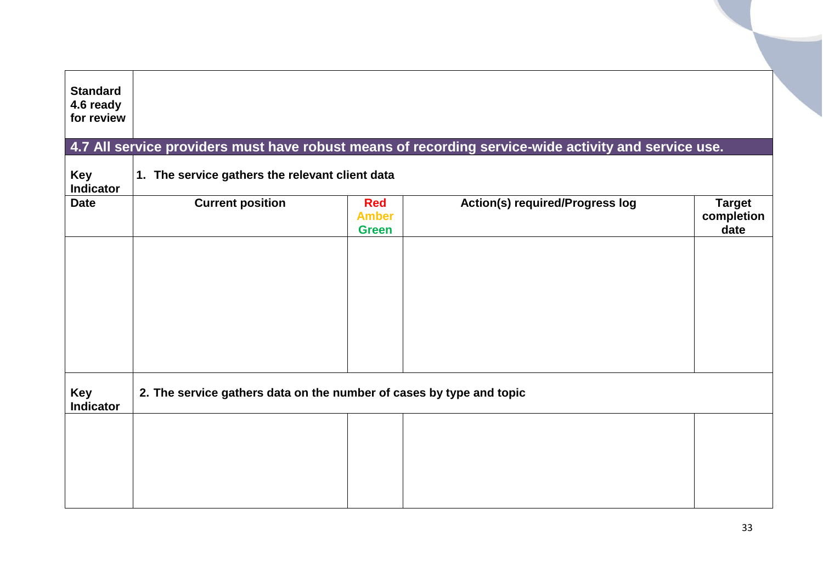<span id="page-32-0"></span>

|            | <b>Red</b><br><b>Amber</b><br><b>Green</b> |                                                 | <b>Target</b><br>completion<br>date                                                                                                                                                                                    |
|------------|--------------------------------------------|-------------------------------------------------|------------------------------------------------------------------------------------------------------------------------------------------------------------------------------------------------------------------------|
|            |                                            |                                                 |                                                                                                                                                                                                                        |
|            |                                            |                                                 |                                                                                                                                                                                                                        |
|            |                                            |                                                 |                                                                                                                                                                                                                        |
|            |                                            |                                                 |                                                                                                                                                                                                                        |
| for review | <b>Current position</b>                    | 1. The service gathers the relevant client data | 4.7 All service providers must have robust means of recording service-wide activity and service use.<br><b>Action(s) required/Progress log</b><br>2. The service gathers data on the number of cases by type and topic |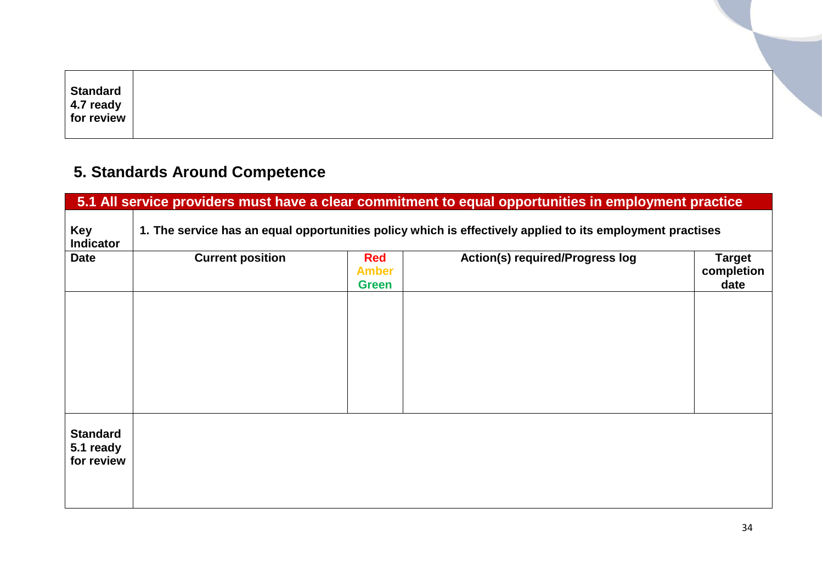| <b>Standard</b> |  |
|-----------------|--|
| 4.7 ready       |  |
| for review      |  |
|                 |  |

# <span id="page-33-0"></span>**5. Standards Around Competence**

<span id="page-33-1"></span>

|                                            | 5.1 All service providers must have a clear commitment to equal opportunities in employment practice |                                            |                                                                                                           |                                     |  |  |  |
|--------------------------------------------|------------------------------------------------------------------------------------------------------|--------------------------------------------|-----------------------------------------------------------------------------------------------------------|-------------------------------------|--|--|--|
| <b>Key</b><br><b>Indicator</b>             |                                                                                                      |                                            | 1. The service has an equal opportunities policy which is effectively applied to its employment practises |                                     |  |  |  |
| <b>Date</b>                                | <b>Current position</b>                                                                              | <b>Red</b><br><b>Amber</b><br><b>Green</b> | <b>Action(s) required/Progress log</b>                                                                    | <b>Target</b><br>completion<br>date |  |  |  |
|                                            |                                                                                                      |                                            |                                                                                                           |                                     |  |  |  |
|                                            |                                                                                                      |                                            |                                                                                                           |                                     |  |  |  |
|                                            |                                                                                                      |                                            |                                                                                                           |                                     |  |  |  |
| <b>Standard</b><br>5.1 ready<br>for review |                                                                                                      |                                            |                                                                                                           |                                     |  |  |  |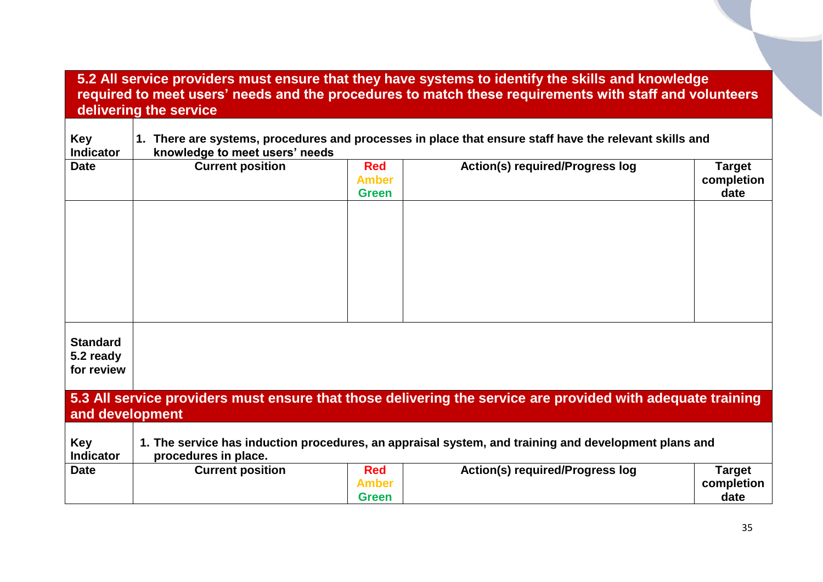#### <span id="page-34-0"></span>**5.2 All service providers must ensure that they have systems to identify the skills and knowledge required to meet users' needs and the procedures to match these requirements with staff and volunteers delivering the service**

<span id="page-34-1"></span>

| <b>Key</b><br><b>Indicator</b>             | 1. There are systems, procedures and processes in place that ensure staff have the relevant skills and<br>knowledge to meet users' needs |                                            |                                                                                                             |                                     |  |
|--------------------------------------------|------------------------------------------------------------------------------------------------------------------------------------------|--------------------------------------------|-------------------------------------------------------------------------------------------------------------|-------------------------------------|--|
| <b>Date</b>                                | <b>Current position</b>                                                                                                                  | <b>Red</b><br><b>Amber</b><br><b>Green</b> | <b>Action(s) required/Progress log</b>                                                                      | <b>Target</b><br>completion<br>date |  |
|                                            |                                                                                                                                          |                                            |                                                                                                             |                                     |  |
| <b>Standard</b><br>5.2 ready<br>for review |                                                                                                                                          |                                            |                                                                                                             |                                     |  |
| and development                            |                                                                                                                                          |                                            | 5.3 All service providers must ensure that those delivering the service are provided with adequate training |                                     |  |
| <b>Key</b><br><b>Indicator</b>             | procedures in place.                                                                                                                     |                                            | 1. The service has induction procedures, an appraisal system, and training and development plans and        |                                     |  |
| <b>Date</b>                                | <b>Current position</b>                                                                                                                  | <b>Red</b><br><b>Amber</b><br><b>Green</b> | <b>Action(s) required/Progress log</b>                                                                      | <b>Target</b><br>completion<br>date |  |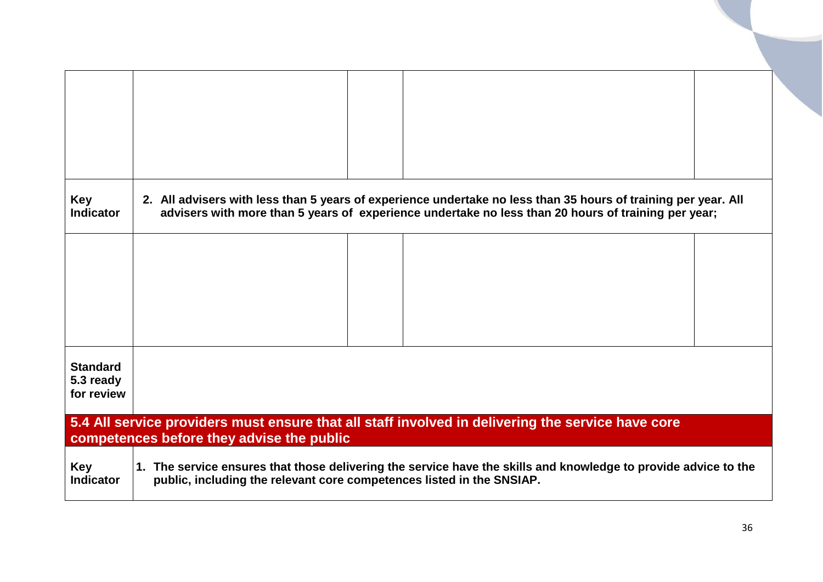<span id="page-35-0"></span>

| <b>Key</b><br><b>Indicator</b>                                                                                                                 |                                                                                                                                                                                          |  | 2. All advisers with less than 5 years of experience undertake no less than 35 hours of training per year. All<br>advisers with more than 5 years of experience undertake no less than 20 hours of training per year; |  |  |  |
|------------------------------------------------------------------------------------------------------------------------------------------------|------------------------------------------------------------------------------------------------------------------------------------------------------------------------------------------|--|-----------------------------------------------------------------------------------------------------------------------------------------------------------------------------------------------------------------------|--|--|--|
|                                                                                                                                                |                                                                                                                                                                                          |  |                                                                                                                                                                                                                       |  |  |  |
|                                                                                                                                                |                                                                                                                                                                                          |  |                                                                                                                                                                                                                       |  |  |  |
| <b>Standard</b><br>5.3 ready<br>for review                                                                                                     |                                                                                                                                                                                          |  |                                                                                                                                                                                                                       |  |  |  |
| 5.4 All service providers must ensure that all staff involved in delivering the service have core<br>competences before they advise the public |                                                                                                                                                                                          |  |                                                                                                                                                                                                                       |  |  |  |
| <b>Key</b><br><b>Indicator</b>                                                                                                                 | 1. The service ensures that those delivering the service have the skills and knowledge to provide advice to the<br>public, including the relevant core competences listed in the SNSIAP. |  |                                                                                                                                                                                                                       |  |  |  |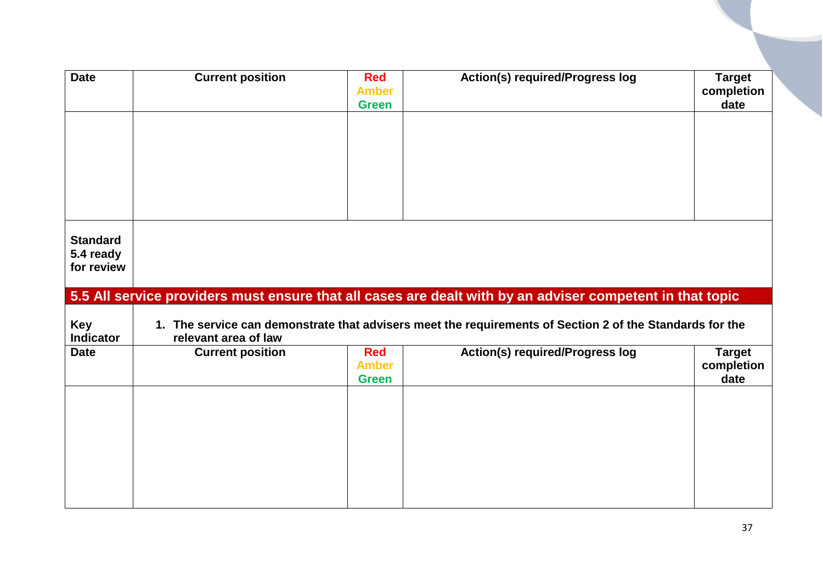<span id="page-36-0"></span>

| <b>Date</b>                                | <b>Current position</b> | <b>Red</b><br><b>Amber</b><br><b>Green</b> | <b>Action(s) required/Progress log</b>                                                                    | <b>Target</b><br>completion<br>date |
|--------------------------------------------|-------------------------|--------------------------------------------|-----------------------------------------------------------------------------------------------------------|-------------------------------------|
|                                            |                         |                                            |                                                                                                           |                                     |
|                                            |                         |                                            |                                                                                                           |                                     |
|                                            |                         |                                            |                                                                                                           |                                     |
|                                            |                         |                                            |                                                                                                           |                                     |
| <b>Standard</b><br>5.4 ready<br>for review |                         |                                            |                                                                                                           |                                     |
|                                            |                         |                                            |                                                                                                           |                                     |
|                                            |                         |                                            | 5.5 All service providers must ensure that all cases are dealt with by an adviser competent in that topic |                                     |
| Key<br><b>Indicator</b>                    | relevant area of law    |                                            | 1. The service can demonstrate that advisers meet the requirements of Section 2 of the Standards for the  |                                     |
| <b>Date</b>                                | <b>Current position</b> | <b>Red</b><br><b>Amber</b><br><b>Green</b> | <b>Action(s) required/Progress log</b>                                                                    | <b>Target</b><br>completion<br>date |
|                                            |                         |                                            |                                                                                                           |                                     |
|                                            |                         |                                            |                                                                                                           |                                     |
|                                            |                         |                                            |                                                                                                           |                                     |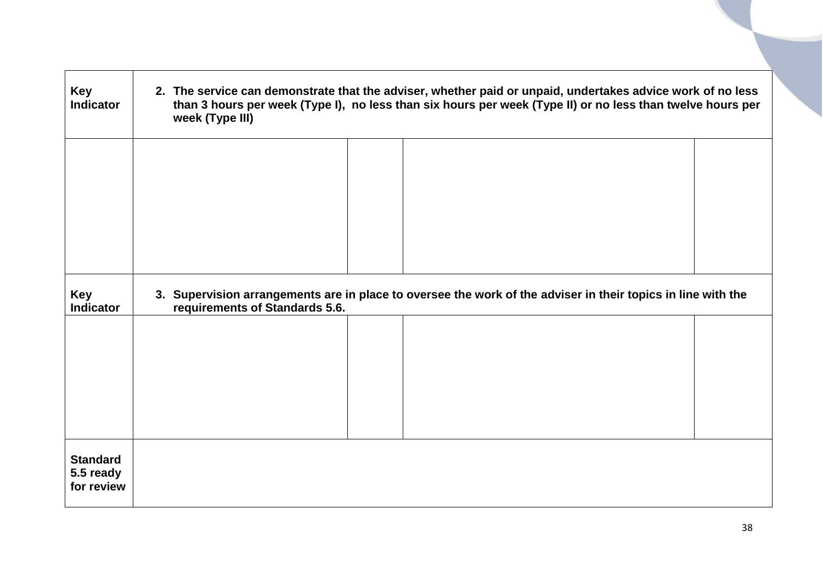| Key<br><b>Indicator</b>                    | 2. The service can demonstrate that the adviser, whether paid or unpaid, undertakes advice work of no less<br>than 3 hours per week (Type I), no less than six hours per week (Type II) or no less than twelve hours per<br>week (Type III) |  |                                                                                                              |  |  |
|--------------------------------------------|---------------------------------------------------------------------------------------------------------------------------------------------------------------------------------------------------------------------------------------------|--|--------------------------------------------------------------------------------------------------------------|--|--|
|                                            |                                                                                                                                                                                                                                             |  |                                                                                                              |  |  |
|                                            |                                                                                                                                                                                                                                             |  |                                                                                                              |  |  |
| Key<br><b>Indicator</b>                    | requirements of Standards 5.6.                                                                                                                                                                                                              |  | 3. Supervision arrangements are in place to oversee the work of the adviser in their topics in line with the |  |  |
|                                            |                                                                                                                                                                                                                                             |  |                                                                                                              |  |  |
|                                            |                                                                                                                                                                                                                                             |  |                                                                                                              |  |  |
|                                            |                                                                                                                                                                                                                                             |  |                                                                                                              |  |  |
| <b>Standard</b><br>5.5 ready<br>for review |                                                                                                                                                                                                                                             |  |                                                                                                              |  |  |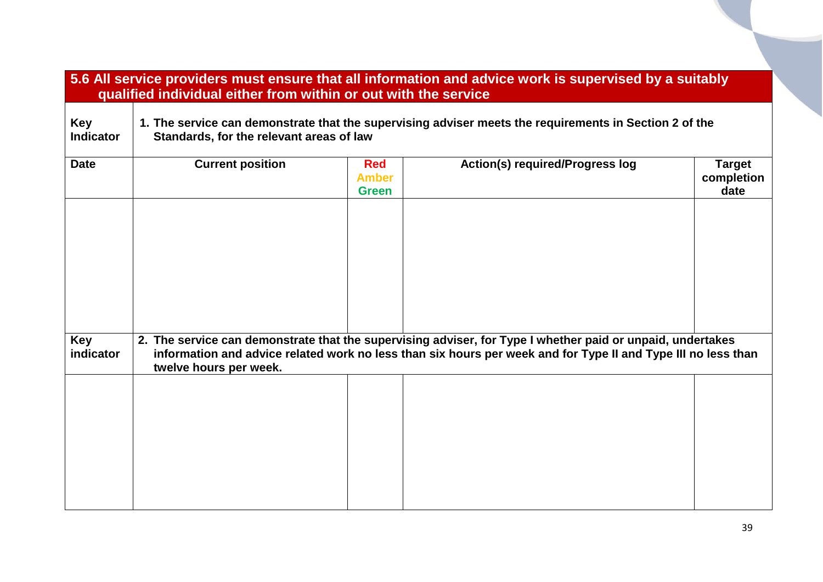<span id="page-38-0"></span>

|                                | qualified individual either from within or out with the service                                                                                    |                                            | 5.6 All service providers must ensure that all information and advice work is supervised by a suitably                                                                                                                      |                                     |  |
|--------------------------------|----------------------------------------------------------------------------------------------------------------------------------------------------|--------------------------------------------|-----------------------------------------------------------------------------------------------------------------------------------------------------------------------------------------------------------------------------|-------------------------------------|--|
| <b>Key</b><br><b>Indicator</b> | 1. The service can demonstrate that the supervising adviser meets the requirements in Section 2 of the<br>Standards, for the relevant areas of law |                                            |                                                                                                                                                                                                                             |                                     |  |
| <b>Date</b>                    | <b>Current position</b>                                                                                                                            | <b>Red</b><br><b>Amber</b><br><b>Green</b> | <b>Action(s) required/Progress log</b>                                                                                                                                                                                      | <b>Target</b><br>completion<br>date |  |
| Key<br>indicator               | twelve hours per week.                                                                                                                             |                                            | 2. The service can demonstrate that the supervising adviser, for Type I whether paid or unpaid, undertakes<br>information and advice related work no less than six hours per week and for Type II and Type III no less than |                                     |  |
|                                |                                                                                                                                                    |                                            |                                                                                                                                                                                                                             |                                     |  |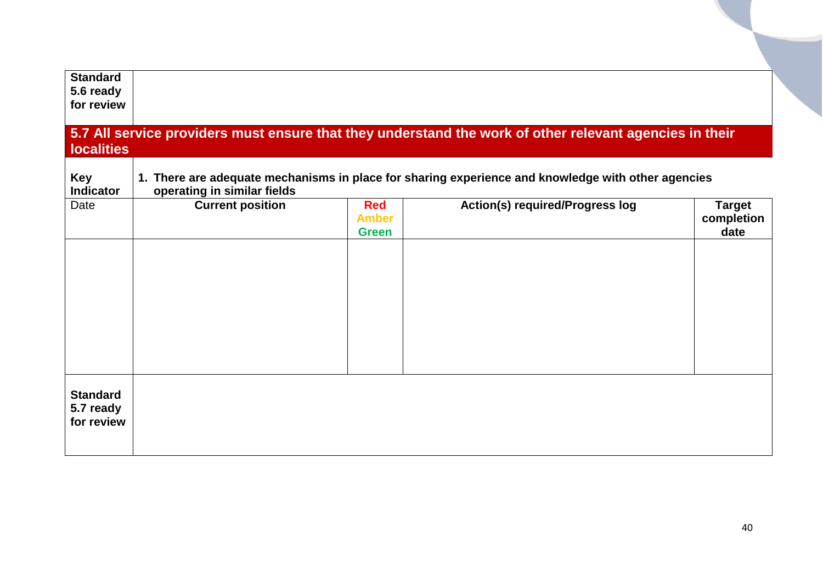<span id="page-39-0"></span>

| <b>Standard</b><br>5.6 ready<br>for review |                             |                                            |                                                                                                         |                                     |
|--------------------------------------------|-----------------------------|--------------------------------------------|---------------------------------------------------------------------------------------------------------|-------------------------------------|
| <b>localities</b>                          |                             |                                            | 5.7 All service providers must ensure that they understand the work of other relevant agencies in their |                                     |
| Key<br><b>Indicator</b>                    | operating in similar fields |                                            | 1. There are adequate mechanisms in place for sharing experience and knowledge with other agencies      |                                     |
| Date                                       | <b>Current position</b>     | <b>Red</b><br><b>Amber</b><br><b>Green</b> | <b>Action(s) required/Progress log</b>                                                                  | <b>Target</b><br>completion<br>date |
| <b>Standard</b><br>5.7 ready<br>for review |                             |                                            |                                                                                                         |                                     |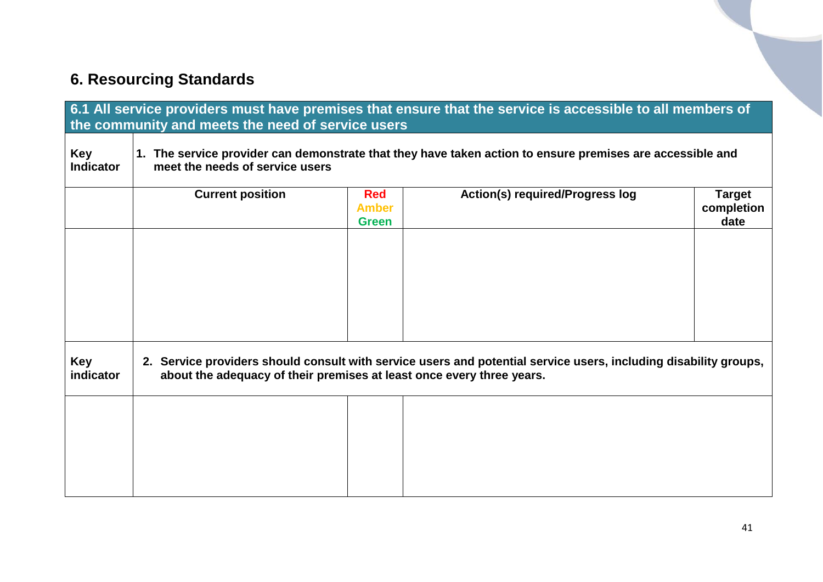# <span id="page-40-0"></span>**6. Resourcing Standards**

<span id="page-40-1"></span>

|                                | the community and meets the need of service users                                                                                                                                         |                                            | 6.1 All service providers must have premises that ensure that the service is accessible to all members of |                                     |
|--------------------------------|-------------------------------------------------------------------------------------------------------------------------------------------------------------------------------------------|--------------------------------------------|-----------------------------------------------------------------------------------------------------------|-------------------------------------|
| <b>Key</b><br><b>Indicator</b> | meet the needs of service users                                                                                                                                                           |                                            | 1. The service provider can demonstrate that they have taken action to ensure premises are accessible and |                                     |
|                                | <b>Current position</b>                                                                                                                                                                   | <b>Red</b><br><b>Amber</b><br><b>Green</b> | <b>Action(s) required/Progress log</b>                                                                    | <b>Target</b><br>completion<br>date |
|                                |                                                                                                                                                                                           |                                            |                                                                                                           |                                     |
|                                |                                                                                                                                                                                           |                                            |                                                                                                           |                                     |
|                                |                                                                                                                                                                                           |                                            |                                                                                                           |                                     |
| <b>Key</b><br>indicator        | 2. Service providers should consult with service users and potential service users, including disability groups,<br>about the adequacy of their premises at least once every three years. |                                            |                                                                                                           |                                     |
|                                |                                                                                                                                                                                           |                                            |                                                                                                           |                                     |
|                                |                                                                                                                                                                                           |                                            |                                                                                                           |                                     |
|                                |                                                                                                                                                                                           |                                            |                                                                                                           |                                     |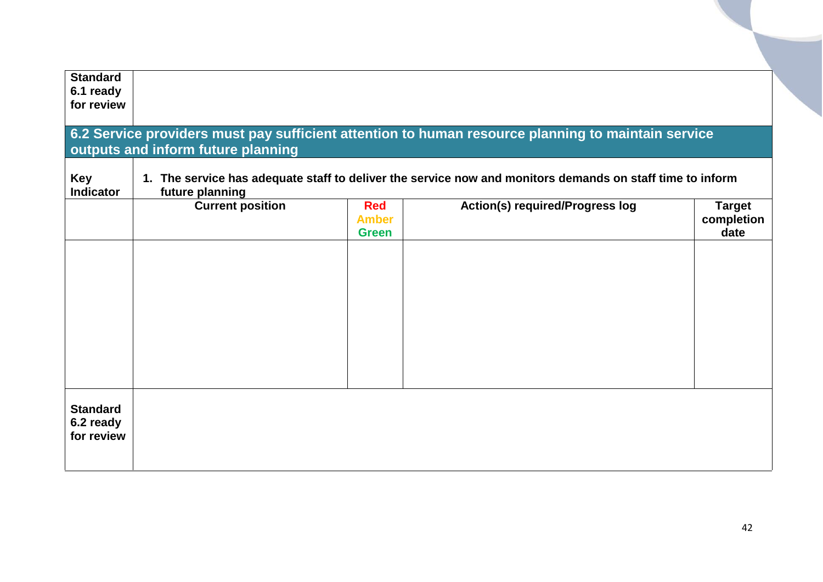<span id="page-41-0"></span>

| <b>Standard</b><br>6.1 ready<br>for review<br>6.2 Service providers must pay sufficient attention to human resource planning to maintain service<br>outputs and inform future planning<br>1. The service has adequate staff to deliver the service now and monitors demands on staff time to inform<br><b>Key</b><br>future planning<br><b>Indicator</b> |                         |                                            |                                        |                                     |  |  |
|----------------------------------------------------------------------------------------------------------------------------------------------------------------------------------------------------------------------------------------------------------------------------------------------------------------------------------------------------------|-------------------------|--------------------------------------------|----------------------------------------|-------------------------------------|--|--|
|                                                                                                                                                                                                                                                                                                                                                          | <b>Current position</b> | <b>Red</b><br><b>Amber</b><br><b>Green</b> | <b>Action(s) required/Progress log</b> | <b>Target</b><br>completion<br>date |  |  |
| <b>Standard</b><br>6.2 ready<br>for review                                                                                                                                                                                                                                                                                                               |                         |                                            |                                        |                                     |  |  |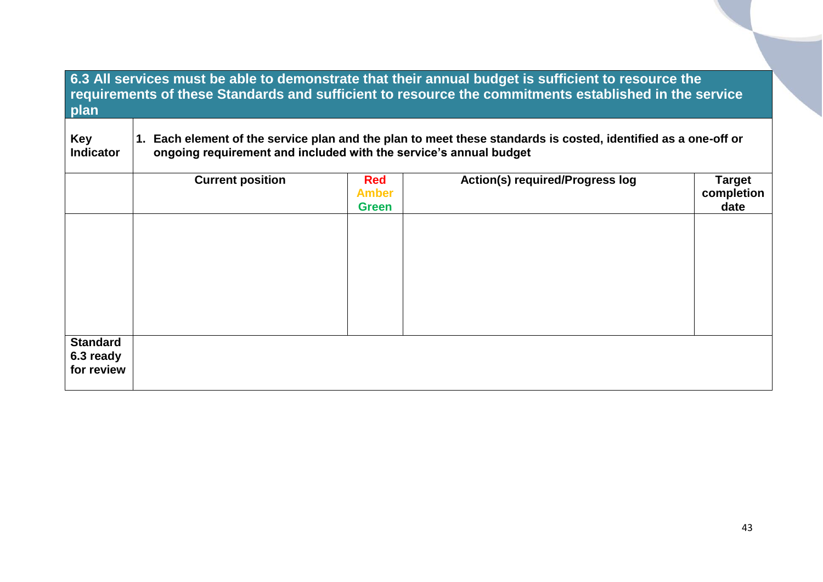<span id="page-42-1"></span><span id="page-42-0"></span>

| 6.3 All services must be able to demonstrate that their annual budget is sufficient to resource the<br>requirements of these Standards and sufficient to resource the commitments established in the service<br>plan |                                                                                                                                                                                     |                                            |                                        |                                     |  |
|----------------------------------------------------------------------------------------------------------------------------------------------------------------------------------------------------------------------|-------------------------------------------------------------------------------------------------------------------------------------------------------------------------------------|--------------------------------------------|----------------------------------------|-------------------------------------|--|
| <b>Key</b><br><b>Indicator</b>                                                                                                                                                                                       | 1. Each element of the service plan and the plan to meet these standards is costed, identified as a one-off or<br>ongoing requirement and included with the service's annual budget |                                            |                                        |                                     |  |
|                                                                                                                                                                                                                      | <b>Current position</b>                                                                                                                                                             | <b>Red</b><br><b>Amber</b><br><b>Green</b> | <b>Action(s) required/Progress log</b> | <b>Target</b><br>completion<br>date |  |
| <b>Standard</b><br>6.3 ready<br>for review                                                                                                                                                                           |                                                                                                                                                                                     |                                            |                                        |                                     |  |